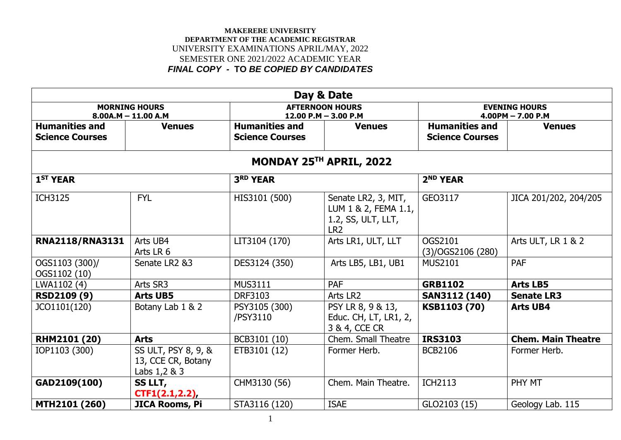|                                                 |                                                              |                                                 | Day & Date                                                                           |                                                 |                                             |
|-------------------------------------------------|--------------------------------------------------------------|-------------------------------------------------|--------------------------------------------------------------------------------------|-------------------------------------------------|---------------------------------------------|
|                                                 | <b>MORNING HOURS</b><br>$8.00A.M - 11.00 A.M$                |                                                 | <b>AFTERNOON HOURS</b><br>12.00 P.M $-$ 3.00 P.M                                     |                                                 | <b>EVENING HOURS</b><br>$4.00PM - 7.00 P.M$ |
| <b>Humanities and</b><br><b>Science Courses</b> | <b>Venues</b>                                                | <b>Humanities and</b><br><b>Science Courses</b> | <b>Venues</b>                                                                        | <b>Humanities and</b><br><b>Science Courses</b> | <b>Venues</b>                               |
|                                                 |                                                              |                                                 | MONDAY 25TH APRIL, 2022                                                              |                                                 |                                             |
| 1 <sup>ST</sup> YEAR                            |                                                              | 3RD YEAR                                        |                                                                                      | 2 <sup>ND</sup> YEAR                            |                                             |
| <b>ICH3125</b>                                  | <b>FYL</b>                                                   | HIS3101 (500)                                   | Senate LR2, 3, MIT,<br>LUM 1 & 2, FEMA 1.1,<br>1.2, SS, ULT, LLT,<br>LR <sub>2</sub> | GEO3117                                         | JICA 201/202, 204/205                       |
| <b>RNA2118/RNA3131</b>                          | Arts UB4<br>Arts LR 6                                        | LIT3104 (170)                                   | Arts LR1, ULT, LLT                                                                   | OGS2101<br>(3)/OGS2106(280)                     | Arts ULT, LR 1 & 2                          |
| OGS1103 (300)/<br>OGS1102 (10)                  | Senate LR2 &3                                                | DES3124 (350)                                   | Arts LB5, LB1, UB1                                                                   | <b>MUS2101</b>                                  | <b>PAF</b>                                  |
| LWA1102 (4)                                     | Arts SR3                                                     | <b>MUS3111</b>                                  | <b>PAF</b>                                                                           | <b>GRB1102</b>                                  | <b>Arts LB5</b>                             |
| <b>RSD2109 (9)</b>                              | <b>Arts UB5</b>                                              | <b>DRF3103</b>                                  | Arts LR2                                                                             | <b>SAN3112 (140)</b>                            | <b>Senate LR3</b>                           |
| JCO1101(120)                                    | Botany Lab 1 & 2                                             | PSY3105 (300)<br>/PSY3110                       | PSY LR 8, 9 & 13,<br>Educ. CH, LT, LR1, 2,<br>3 & 4, CCE CR                          | KSB1103 (70)                                    | <b>Arts UB4</b>                             |
| <b>RHM2101 (20)</b>                             | <b>Arts</b>                                                  | BCB3101 (10)                                    | Chem. Small Theatre                                                                  | <b>IRS3103</b>                                  | <b>Chem. Main Theatre</b>                   |
| IOP1103 (300)                                   | SS ULT, PSY 8, 9, &<br>13, CCE CR, Botany<br>Labs $1,2 \& 3$ | ETB3101 (12)                                    | Former Herb.                                                                         | <b>BCB2106</b>                                  | Former Herb.                                |
| GAD2109(100)                                    | <b>SS LLT,</b><br>CTF1(2.1, 2.2)                             | CHM3130 (56)                                    | Chem. Main Theatre.                                                                  | <b>ICH2113</b>                                  | PHY MT                                      |
| MTH2101 (260)                                   | JICA Rooms, Pi                                               | STA3116 (120)                                   | <b>ISAE</b>                                                                          | GLO2103 (15)                                    | Geology Lab. 115                            |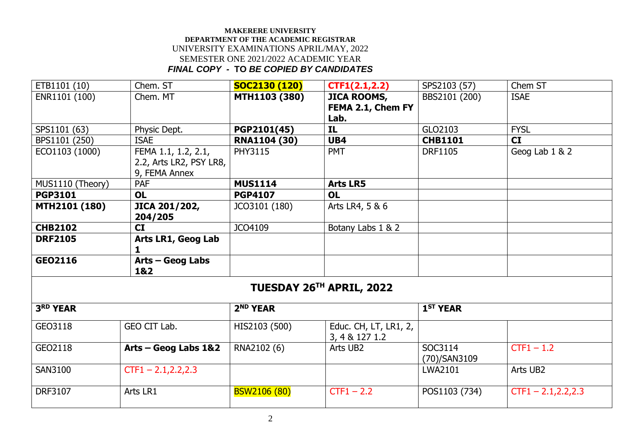| ETB1101 (10)     | Chem. ST                | SOC2130 (120)        | CTF1(2.1, 2.2)           | SPS2103 (57)         | Chem ST                |
|------------------|-------------------------|----------------------|--------------------------|----------------------|------------------------|
| ENR1101 (100)    | Chem. MT                | <b>MTH1103 (380)</b> | <b>JICA ROOMS,</b>       | BBS2101 (200)        | <b>ISAE</b>            |
|                  |                         |                      | FEMA 2.1, Chem FY        |                      |                        |
|                  |                         |                      | Lab.                     |                      |                        |
| SPS1101 (63)     | Physic Dept.            | PGP2101(45)          | IL.                      | GLO2103              | <b>FYSL</b>            |
| BPS1101 (250)    | <b>ISAE</b>             | <b>RNA1104 (30)</b>  | UB4                      | <b>CHB1101</b>       | <b>CI</b>              |
| ECO1103 (1000)   | FEMA 1.1, 1.2, 2.1,     | <b>PHY3115</b>       | <b>PMT</b>               | <b>DRF1105</b>       | Geog Lab 1 & 2         |
|                  | 2.2, Arts LR2, PSY LR8, |                      |                          |                      |                        |
|                  | 9, FEMA Annex           |                      |                          |                      |                        |
| MUS1110 (Theory) | PAF                     | <b>MUS1114</b>       | <b>Arts LR5</b>          |                      |                        |
| <b>PGP3101</b>   | <b>OL</b>               | <b>PGP4107</b>       | <b>OL</b>                |                      |                        |
| MTH2101 (180)    | JICA 201/202,           | JCO3101 (180)        | Arts LR4, 5 & 6          |                      |                        |
|                  | 204/205                 |                      |                          |                      |                        |
| <b>CHB2102</b>   | CI                      | JCO4109              | Botany Labs 1 & 2        |                      |                        |
| <b>DRF2105</b>   | Arts LR1, Geog Lab      |                      |                          |                      |                        |
|                  | 1                       |                      |                          |                      |                        |
| GEO2116          | $Arts - Geog$ Labs      |                      |                          |                      |                        |
|                  | 1&2                     |                      |                          |                      |                        |
|                  |                         |                      | TUESDAY 26TH APRIL, 2022 |                      |                        |
|                  |                         |                      |                          |                      |                        |
| <b>3RD YEAR</b>  |                         | 2 <sup>ND</sup> YEAR |                          | 1 <sup>ST</sup> YEAR |                        |
| GEO3118          | GEO CIT Lab.            | HIS2103 (500)        | Educ. CH, LT, LR1, 2,    |                      |                        |
|                  |                         |                      | 3, 4 & 127 1.2           |                      |                        |
| GEO2118          | Arts - Geog Labs 1&2    | RNA2102 (6)          | Arts UB2                 | SOC3114              | $CTF1 - 1.2$           |
|                  |                         |                      |                          | (70)/SAN3109         |                        |
| <b>SAN3100</b>   | $CTF1 - 2.1, 2.2, 2.3$  |                      |                          | LWA2101              | Arts UB2               |
|                  |                         |                      |                          |                      |                        |
| <b>DRF3107</b>   | Arts LR1                | <b>BSW2106 (80)</b>  | $CTF1 - 2.2$             | POS1103 (734)        | $CTF1 - 2.1, 2.2, 2.3$ |
|                  |                         |                      |                          |                      |                        |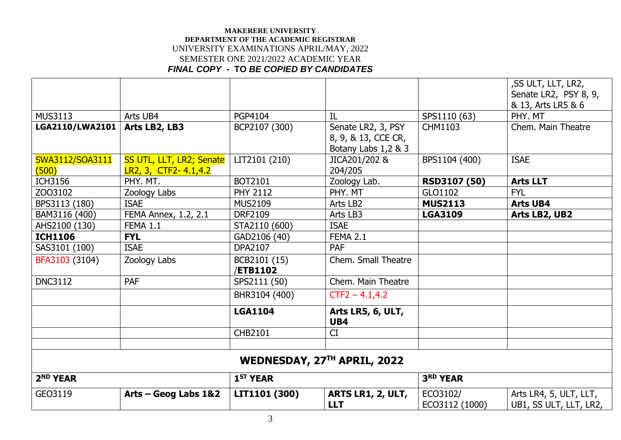|                      |                          |                      |                                        |                            | , SS ULT, LLT, LR2,<br>Senate LR2, PSY 8, 9,     |
|----------------------|--------------------------|----------------------|----------------------------------------|----------------------------|--------------------------------------------------|
|                      |                          |                      |                                        |                            | & 13, Arts LR5 & 6                               |
| <b>MUS3113</b>       | Arts UB4                 | PGP4104              | IL                                     | SPS1110 (63)               | PHY. MT                                          |
| LGA2110/LWA2101      | Arts LB2, LB3            | BCP2107 (300)        | Senate LR2, 3, PSY                     | CHM1103                    | Chem. Main Theatre                               |
|                      |                          |                      | 8, 9, & 13, CCE CR,                    |                            |                                                  |
|                      |                          |                      | Botany Labs 1,2 & 3                    |                            |                                                  |
| SWA3112/SOA3111      | SS UTL, LLT, LR2; Senate | LIT2101 (210)        | JICA201/202 &                          | BPS1104 (400)              | <b>ISAE</b>                                      |
| (500)                | LR2, 3, CTF2- 4.1, 4.2   |                      | 204/205                                |                            |                                                  |
| <b>ICH3156</b>       | PHY. MT.                 | BOT2101              | Zoology Lab.                           | RSD3107 (50)               | <b>Arts LLT</b>                                  |
| ZO03102              | Zoology Labs             | <b>PHY 2112</b>      | PHY. MT                                | GLO1102                    | <b>FYL</b>                                       |
| BPS3113 (180)        | <b>ISAE</b>              | <b>MUS2109</b>       | Arts LB2                               | <b>MUS2113</b>             | <b>Arts UB4</b>                                  |
| BAM3116 (400)        | FEMA Annex, 1.2, 2.1     | <b>DRF2109</b>       | Arts LB3                               | <b>LGA3109</b>             | Arts LB2, UB2                                    |
| AHS2100 (130)        | <b>FEMA 1.1</b>          | STA2110 (600)        | <b>ISAE</b>                            |                            |                                                  |
| <b>ICH1106</b>       | <b>FYL</b>               | GAD2106 (40)         | <b>FEMA 2.1</b>                        |                            |                                                  |
| SAS3101 (100)        | <b>ISAE</b>              | DPA2107              | <b>PAF</b>                             |                            |                                                  |
| BFA3103 (3104)       | Zoology Labs             | BCB2101 (15)         | Chem. Small Theatre                    |                            |                                                  |
|                      |                          | <b>/ETB1102</b>      |                                        |                            |                                                  |
| <b>DNC3112</b>       | <b>PAF</b>               | SPS2111 (50)         | Chem. Main Theatre                     |                            |                                                  |
|                      |                          | BHR3104 (400)        | $CTF2 - 4.1, 4.2$                      |                            |                                                  |
|                      |                          | <b>LGA1104</b>       | Arts LR5, 6, ULT,<br>UB4               |                            |                                                  |
|                      |                          | CHB2101              | CI                                     |                            |                                                  |
|                      |                          |                      |                                        |                            |                                                  |
|                      |                          |                      | WEDNESDAY, 27TH APRIL, 2022            |                            |                                                  |
| 2 <sup>ND</sup> YEAR |                          | 1 <sup>ST</sup> YEAR |                                        | <b>3RD YEAR</b>            |                                                  |
| GEO3119              | Arts - Geog Labs 1&2     | LIT1101 (300)        | <b>ARTS LR1, 2, ULT,</b><br><b>LLT</b> | ECO3102/<br>ECO3112 (1000) | Arts LR4, 5, ULT, LLT,<br>UB1, SS ULT, LLT, LR2, |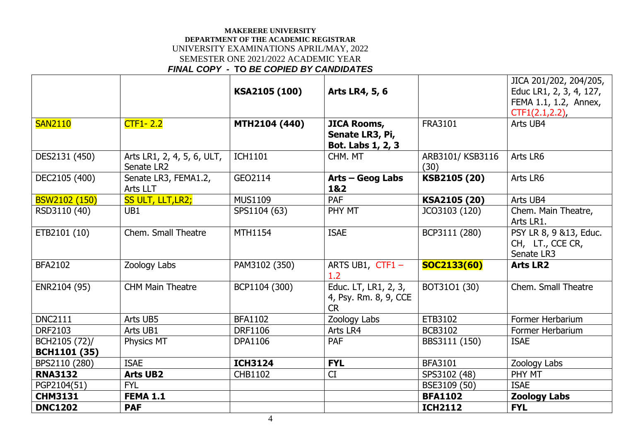|                      |                                  |                |                                       |                 | JICA 201/202, 204/205,  |
|----------------------|----------------------------------|----------------|---------------------------------------|-----------------|-------------------------|
|                      |                                  | KSA2105 (100)  | Arts LR4, 5, 6                        |                 | Educ LR1, 2, 3, 4, 127, |
|                      |                                  |                |                                       |                 | FEMA 1.1, 1.2, Annex,   |
|                      |                                  |                |                                       |                 | $CTF1(2.1, 2.2)$ ,      |
| <b>SAN2110</b>       | $CTF1 - 2.2$                     | MTH2104 (440)  | <b>JICA Rooms,</b><br>Senate LR3, Pi, | FRA3101         | Arts UB4                |
|                      |                                  |                | Bot. Labs 1, 2, 3                     |                 |                         |
| DES2131 (450)        | Arts LR1, 2, 4, 5, 6, ULT,       | <b>ICH1101</b> | CHM. MT                               | ARB3101/KSB3116 | Arts LR6                |
|                      | Senate LR2                       |                |                                       | (30)            |                         |
| DEC2105 (400)        | Senate LR3, FEMA1.2,<br>Arts LLT | GEO2114        | Arts - Geog Labs<br>1&2               | KSB2105 (20)    | Arts LR6                |
| <b>BSW2102 (150)</b> | SS ULT, LLT, LR2;                | <b>MUS1109</b> | PAF                                   | KSA2105 (20)    | Arts UB4                |
| RSD3110 (40)         | UB1                              | SPS1104 (63)   | PHY MT                                | JCO3103 (120)   | Chem. Main Theatre,     |
|                      |                                  |                |                                       |                 | Arts LR1.               |
| ETB2101 (10)         | Chem. Small Theatre              | <b>MTH1154</b> | <b>ISAE</b>                           | BCP3111 (280)   | PSY LR 8, 9 &13, Educ.  |
|                      |                                  |                |                                       |                 | CH, LT., CCE CR,        |
|                      |                                  |                |                                       |                 | Senate LR3              |
| <b>BFA2102</b>       | Zoology Labs                     | PAM3102 (350)  | ARTS UB1, $CTF1 -$<br>1.2             | SOC2133(60)     | <b>Arts LR2</b>         |
| ENR2104 (95)         | <b>CHM Main Theatre</b>          | BCP1104 (300)  | Educ. LT, LR1, 2, 3,                  | BOT3101 (30)    | Chem. Small Theatre     |
|                      |                                  |                | 4, Psy. Rm. 8, 9, CCE                 |                 |                         |
|                      |                                  |                | <b>CR</b>                             |                 |                         |
| <b>DNC2111</b>       | Arts UB5                         | <b>BFA1102</b> | Zoology Labs                          | ETB3102         | Former Herbarium        |
| <b>DRF2103</b>       | Arts UB1                         | <b>DRF1106</b> | Arts LR4                              | <b>BCB3102</b>  | Former Herbarium        |
| BCH2105 (72)/        | <b>Physics MT</b>                | <b>DPA1106</b> | <b>PAF</b>                            | BBS3111 (150)   | <b>ISAE</b>             |
| <b>BCH1101 (35)</b>  |                                  |                |                                       |                 |                         |
| BPS2110 (280)        | <b>ISAE</b>                      | <b>ICH3124</b> | <b>FYL</b>                            | <b>BFA3101</b>  | Zoology Labs            |
| <b>RNA3132</b>       | <b>Arts UB2</b>                  | <b>CHB1102</b> | CI                                    | SPS3102 (48)    | PHY MT                  |
| PGP2104(51)          | <b>FYL</b>                       |                |                                       | BSE3109 (50)    | <b>ISAE</b>             |
| <b>CHM3131</b>       | <b>FEMA 1.1</b>                  |                |                                       | <b>BFA1102</b>  | <b>Zoology Labs</b>     |
| <b>DNC1202</b>       | <b>PAF</b>                       |                |                                       | <b>ICH2112</b>  | <b>FYL</b>              |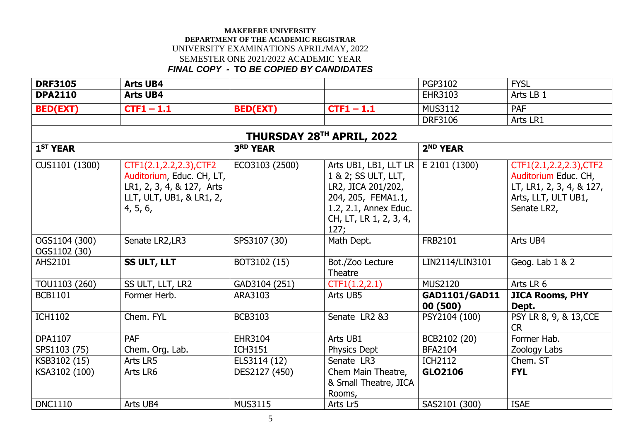| <b>DRF3105</b>                | <b>Arts UB4</b>                                                                                                           |                           |                                                                                                                                                       | <b>PGP3102</b>            | <b>FYSL</b>                                                                                                       |
|-------------------------------|---------------------------------------------------------------------------------------------------------------------------|---------------------------|-------------------------------------------------------------------------------------------------------------------------------------------------------|---------------------------|-------------------------------------------------------------------------------------------------------------------|
| <b>DPA2110</b>                | <b>Arts UB4</b>                                                                                                           |                           |                                                                                                                                                       | <b>EHR3103</b>            | Arts LB 1                                                                                                         |
| <b>BED(EXT)</b>               | $CTF1 - 1.1$                                                                                                              | <b>BED(EXT)</b>           | $CTF1 - 1.1$                                                                                                                                          | <b>MUS3112</b>            | <b>PAF</b>                                                                                                        |
|                               |                                                                                                                           |                           |                                                                                                                                                       | <b>DRF3106</b>            | Arts LR1                                                                                                          |
|                               |                                                                                                                           | THURSDAY 28TH APRIL, 2022 |                                                                                                                                                       |                           |                                                                                                                   |
| 1 <sup>ST</sup> YEAR          |                                                                                                                           | 3RD YEAR                  |                                                                                                                                                       | 2 <sup>ND</sup> YEAR      |                                                                                                                   |
| CUS1101 (1300)                | CTF1(2.1,2.2,2.3), CTF2<br>Auditorium, Educ. CH, LT,<br>LR1, 2, 3, 4, & 127, Arts<br>LLT, ULT, UB1, & LR1, 2,<br>4, 5, 6, | ECO3103 (2500)            | Arts UB1, LB1, LLT LR  <br>1 & 2; SS ULT, LLT,<br>LR2, JICA 201/202,<br>204, 205, FEMA1.1,<br>1.2, 2.1, Annex Educ.<br>CH, LT, LR 1, 2, 3, 4,<br>127; | E 2101 (1300)             | CTF1(2.1,2.2,2.3), CTF2<br>Auditorium Educ. CH,<br>LT, LR1, 2, 3, 4, & 127,<br>Arts, LLT, ULT UB1,<br>Senate LR2, |
| OGS1104 (300)<br>OGS1102 (30) | Senate LR2, LR3                                                                                                           | SPS3107 (30)              | Math Dept.                                                                                                                                            | FRB2101                   | Arts UB4                                                                                                          |
| <b>AHS2101</b>                | SS ULT, LLT                                                                                                               | BOT3102 (15)              | Bot./Zoo Lecture<br>Theatre                                                                                                                           | LIN2114/LIN3101           | Geog. Lab 1 & 2                                                                                                   |
| TOU1103 (260)                 | SS ULT, LLT, LR2                                                                                                          | GAD3104 (251)             | CTF1(1.2,2.1)                                                                                                                                         | <b>MUS2120</b>            | Arts LR 6                                                                                                         |
| <b>BCB1101</b>                | Former Herb.                                                                                                              | ARA3103                   | Arts UB5                                                                                                                                              | GAD1101/GAD11<br>00 (500) | <b>JICA Rooms, PHY</b><br>Dept.                                                                                   |
| <b>ICH1102</b>                | Chem. FYL                                                                                                                 | <b>BCB3103</b>            | Senate LR2 &3                                                                                                                                         | PSY2104 (100)             | PSY LR 8, 9, & 13, CCE<br><b>CR</b>                                                                               |
| <b>DPA1107</b>                | PAF                                                                                                                       | EHR3104                   | Arts UB1                                                                                                                                              | BCB2102 (20)              | Former Hab.                                                                                                       |
| SPS1103 (75)                  | Chem. Org. Lab.                                                                                                           | <b>ICH3151</b>            | Physics Dept                                                                                                                                          | <b>BFA2104</b>            | Zoology Labs                                                                                                      |
| KSB3102 (15)                  | Arts LR5                                                                                                                  | ELS3114 (12)              | Senate LR3                                                                                                                                            | <b>ICH2112</b>            | Chem. ST                                                                                                          |
| KSA3102 (100)                 | Arts LR6                                                                                                                  | DES2127 (450)             | Chem Main Theatre,<br>& Small Theatre, JICA<br>Rooms,                                                                                                 | GLO2106                   | <b>FYL</b>                                                                                                        |
| <b>DNC1110</b>                | Arts UB4                                                                                                                  | <b>MUS3115</b>            | Arts Lr5                                                                                                                                              | SAS2101 (300)             | <b>ISAE</b>                                                                                                       |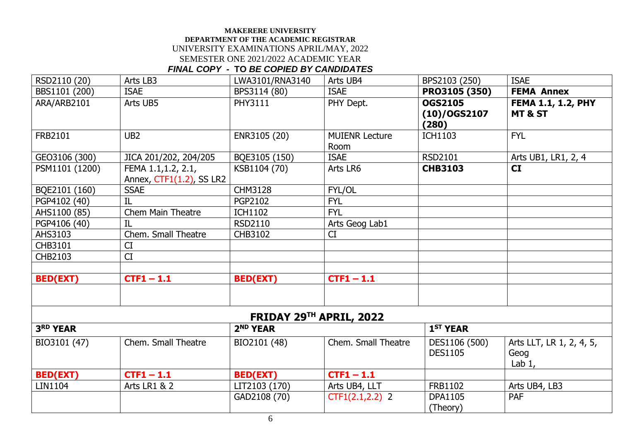| RSD2110 (20)    | Arts LB3                                                                | LWA3101/RNA3140 | Arts UB4                      | BPS2103 (250)                              | <b>ISAE</b>                                     |  |  |  |
|-----------------|-------------------------------------------------------------------------|-----------------|-------------------------------|--------------------------------------------|-------------------------------------------------|--|--|--|
| BBS1101 (200)   | <b>ISAE</b>                                                             | BPS3114 (80)    | <b>ISAE</b>                   | PR03105 (350)                              | <b>FEMA Annex</b>                               |  |  |  |
| ARA/ARB2101     | Arts UB5                                                                | <b>PHY3111</b>  | PHY Dept.                     | <b>OGS2105</b><br>$(10)/0$ GS2107<br>(280) | <b>FEMA 1.1, 1.2, PHY</b><br><b>MT &amp; ST</b> |  |  |  |
| FRB2101         | UB <sub>2</sub>                                                         | ENR3105 (20)    | <b>MUIENR Lecture</b><br>Room | <b>ICH1103</b>                             | <b>FYL</b>                                      |  |  |  |
| GEO3106 (300)   | JICA 201/202, 204/205                                                   | BQE3105 (150)   | <b>ISAE</b>                   | <b>RSD2101</b>                             | Arts UB1, LR1, 2, 4                             |  |  |  |
| PSM1101 (1200)  | FEMA 1.1, 1.2, 2.1,<br>Annex, CTF1(1.2), SS LR2                         | KSB1104 (70)    | Arts LR6                      | <b>CHB3103</b>                             | <b>CI</b>                                       |  |  |  |
| BQE2101 (160)   | <b>SSAE</b>                                                             | <b>CHM3128</b>  | FYL/OL                        |                                            |                                                 |  |  |  |
| PGP4102 (40)    | IL                                                                      | <b>PGP2102</b>  | <b>FYL</b>                    |                                            |                                                 |  |  |  |
| AHS1100 (85)    | <b>Chem Main Theatre</b>                                                | <b>ICH1102</b>  | <b>FYL</b>                    |                                            |                                                 |  |  |  |
| PGP4106 (40)    | IL                                                                      | <b>RSD2110</b>  | Arts Geog Lab1                |                                            |                                                 |  |  |  |
| AHS3103         | Chem. Small Theatre                                                     | CHB3102         | CI                            |                                            |                                                 |  |  |  |
| CHB3101         | CI                                                                      |                 |                               |                                            |                                                 |  |  |  |
| <b>CHB2103</b>  | CI                                                                      |                 |                               |                                            |                                                 |  |  |  |
| <b>BED(EXT)</b> | $CTF1 - 1.1$                                                            | <b>BED(EXT)</b> | $CTF1 - 1.1$                  |                                            |                                                 |  |  |  |
| 3RD YEAR        | FRIDAY 29TH APRIL, 2022<br>2 <sup>ND</sup> YEAR<br>1 <sup>ST</sup> YEAR |                 |                               |                                            |                                                 |  |  |  |
| BIO3101 (47)    | Chem. Small Theatre                                                     | BIO2101 (48)    | Chem. Small Theatre           | DES1106 (500)<br><b>DES1105</b>            | Arts LLT, LR 1, 2, 4, 5,<br>Geog<br>Lab $1$ ,   |  |  |  |
| <b>BED(EXT)</b> | $CTF1 - 1.1$                                                            | <b>BED(EXT)</b> | $CTF1 - 1.1$                  |                                            |                                                 |  |  |  |
| LIN1104         | <b>Arts LR1 &amp; 2</b>                                                 | LIT2103 (170)   | Arts UB4, LLT                 | FRB1102                                    | Arts UB4, LB3                                   |  |  |  |
|                 |                                                                         | GAD2108 (70)    | $CTF1(2.1,2.2)$ 2             | <b>DPA1105</b><br>(Theory)                 | <b>PAF</b>                                      |  |  |  |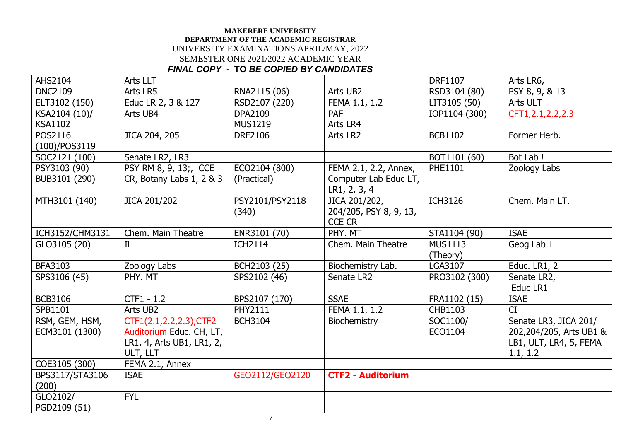| <b>AHS2104</b>  | Arts LLT                  |                 |                          | <b>DRF1107</b> | Arts LR6,               |
|-----------------|---------------------------|-----------------|--------------------------|----------------|-------------------------|
| <b>DNC2109</b>  | Arts LR5                  | RNA2115 (06)    | Arts UB2                 | RSD3104 (80)   | PSY 8, 9, & 13          |
| ELT3102 (150)   | Educ LR 2, 3 & 127        | RSD2107 (220)   | FEMA 1.1, 1.2            | LIT3105 (50)   | Arts ULT                |
| KSA2104 (10)/   | Arts UB4                  | <b>DPA2109</b>  | <b>PAF</b>               | IOP1104 (300)  | CFT1, 2.1, 2.2, 2.3     |
| <b>KSA1102</b>  |                           | <b>MUS1219</b>  | Arts LR4                 |                |                         |
| POS2116         | JICA 204, 205             | <b>DRF2106</b>  | Arts LR2                 | <b>BCB1102</b> | Former Herb.            |
| (100)/POS3119   |                           |                 |                          |                |                         |
| SOC2121 (100)   | Senate LR2, LR3           |                 |                          | BOT1101 (60)   | Bot Lab !               |
| PSY3103 (90)    | PSY RM 8, 9, 13;, CCE     | ECO2104 (800)   | FEMA 2.1, 2.2, Annex,    | PHE1101        | Zoology Labs            |
| BUB3101 (290)   | CR, Botany Labs 1, 2 & 3  | (Practical)     | Computer Lab Educ LT,    |                |                         |
|                 |                           |                 | LR1, 2, 3, 4             |                |                         |
| MTH3101 (140)   | JICA 201/202              | PSY2101/PSY2118 | JICA 201/202,            | <b>ICH3126</b> | Chem. Main LT.          |
|                 |                           | (340)           | 204/205, PSY 8, 9, 13,   |                |                         |
|                 |                           |                 | <b>CCE CR</b>            |                |                         |
| ICH3152/CHM3131 | Chem. Main Theatre        | ENR3101 (70)    | PHY. MT                  | STA1104 (90)   | <b>ISAE</b>             |
| GLO3105 (20)    | IL                        | <b>ICH2114</b>  | Chem. Main Theatre       | <b>MUS1113</b> | Geog Lab 1              |
|                 |                           |                 |                          | (Theory)       |                         |
| <b>BFA3103</b>  | Zoology Labs              | BCH2103 (25)    | Biochemistry Lab.        | LGA3107        | Educ. LR1, 2            |
| SPS3106 (45)    | PHY. MT                   | SPS2102 (46)    | Senate LR2               | PRO3102 (300)  | Senate LR2,             |
|                 |                           |                 |                          |                | Educ LR1                |
| <b>BCB3106</b>  | $CTF1 - 1.2$              | BPS2107 (170)   | <b>SSAE</b>              | FRA1102 (15)   | <b>ISAE</b>             |
| SPB1101         | Arts UB2                  | PHY2111         | FEMA 1.1, 1.2            | <b>CHB1103</b> | CI                      |
| RSM, GEM, HSM,  | CTF1(2.1,2.2,2.3), CTF2   | <b>BCH3104</b>  | Biochemistry             | SOC1100/       | Senate LR3, JICA 201/   |
| ECM3101 (1300)  | Auditorium Educ. CH, LT,  |                 |                          | ECO1104        | 202,204/205, Arts UB1 & |
|                 | LR1, 4, Arts UB1, LR1, 2, |                 |                          |                | LB1, ULT, LR4, 5, FEMA  |
|                 | ULT, LLT                  |                 |                          |                | 1.1, 1.2                |
| COE3105 (300)   | FEMA 2.1, Annex           |                 |                          |                |                         |
| BPS3117/STA3106 | <b>ISAE</b>               | GEO2112/GEO2120 | <b>CTF2 - Auditorium</b> |                |                         |
| (200)           |                           |                 |                          |                |                         |
| GLO2102/        | <b>FYL</b>                |                 |                          |                |                         |
| PGD2109 (51)    |                           |                 |                          |                |                         |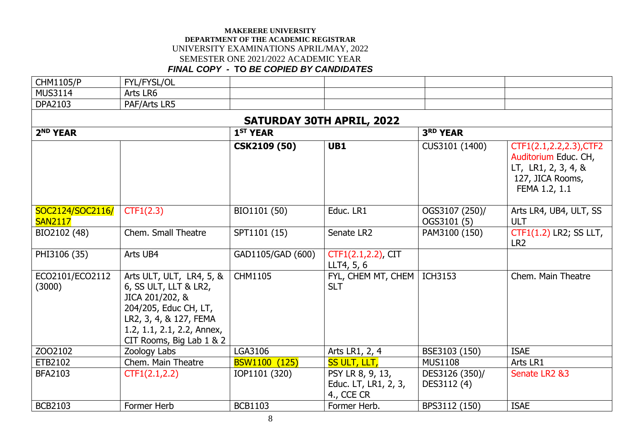| <b>CHM1105/P</b>                   | FYL/FYSL/OL                                                                                                                                                                       |                      |                                                        |                               |                                                                                                             |  |  |  |  |  |  |
|------------------------------------|-----------------------------------------------------------------------------------------------------------------------------------------------------------------------------------|----------------------|--------------------------------------------------------|-------------------------------|-------------------------------------------------------------------------------------------------------------|--|--|--|--|--|--|
| <b>MUS3114</b>                     | Arts LR6                                                                                                                                                                          |                      |                                                        |                               |                                                                                                             |  |  |  |  |  |  |
| <b>DPA2103</b>                     | PAF/Arts LR5                                                                                                                                                                      |                      |                                                        |                               |                                                                                                             |  |  |  |  |  |  |
|                                    | <b>SATURDAY 30TH APRIL, 2022</b>                                                                                                                                                  |                      |                                                        |                               |                                                                                                             |  |  |  |  |  |  |
| 2 <sup>ND</sup> YEAR               |                                                                                                                                                                                   | 1 <sup>ST</sup> YEAR |                                                        | <b>3RD YEAR</b>               |                                                                                                             |  |  |  |  |  |  |
|                                    |                                                                                                                                                                                   | <b>CSK2109 (50)</b>  | UB1                                                    | CUS3101 (1400)                | CTF1(2.1,2.2,2.3), CTF2<br>Auditorium Educ. CH,<br>LT, LR1, 2, 3, 4, &<br>127, JICA Rooms,<br>FEMA 1.2, 1.1 |  |  |  |  |  |  |
| SOC2124/SOC2116/<br><b>SAN2117</b> | CTF1(2.3)                                                                                                                                                                         | BIO1101 (50)         | Educ. LR1                                              | OGS3107 (250)/<br>OGS3101 (5) | Arts LR4, UB4, ULT, SS<br><b>ULT</b>                                                                        |  |  |  |  |  |  |
| BIO2102 (48)                       | Chem. Small Theatre                                                                                                                                                               | SPT1101 (15)         | Senate LR2                                             | PAM3100 (150)                 | CTF1(1.2) LR2; SS LLT,<br>LR <sub>2</sub>                                                                   |  |  |  |  |  |  |
| PHI3106 (35)                       | Arts UB4                                                                                                                                                                          | GAD1105/GAD (600)    | CTF1(2.1,2.2), CIT<br>LLT4, 5, 6                       |                               |                                                                                                             |  |  |  |  |  |  |
| ECO2101/ECO2112<br>(3000)          | Arts ULT, ULT, LR4, 5, &<br>6, SS ULT, LLT & LR2,<br>JICA 201/202, &<br>204/205, Educ CH, LT,<br>LR2, 3, 4, & 127, FEMA<br>1.2, 1.1, 2.1, 2.2, Annex,<br>CIT Rooms, Big Lab 1 & 2 | <b>CHM1105</b>       | FYL, CHEM MT, CHEM   ICH3153<br><b>SLT</b>             |                               | Chem. Main Theatre                                                                                          |  |  |  |  |  |  |
| ZO02102                            | Zoology Labs                                                                                                                                                                      | LGA3106              | Arts LR1, 2, 4                                         | BSE3103 (150)                 | <b>ISAE</b>                                                                                                 |  |  |  |  |  |  |
| ETB2102                            | Chem. Main Theatre                                                                                                                                                                | BSW1100 (125)        | SS ULT, LLT,                                           | <b>MUS1108</b>                | Arts LR1                                                                                                    |  |  |  |  |  |  |
| <b>BFA2103</b>                     | CTF1(2.1, 2.2)                                                                                                                                                                    | IOP1101 (320)        | PSY LR 8, 9, 13,<br>Educ. LT, LR1, 2, 3,<br>4., CCE CR | DES3126 (350)/<br>DES3112 (4) | Senate LR2 &3                                                                                               |  |  |  |  |  |  |
| <b>BCB2103</b>                     | Former Herb                                                                                                                                                                       | <b>BCB1103</b>       | Former Herb.                                           | BPS3112 (150)                 | <b>ISAE</b>                                                                                                 |  |  |  |  |  |  |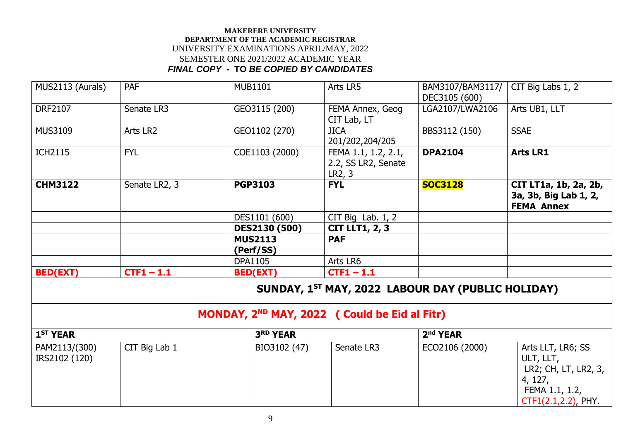| MUS2113 (Aurals)               | <b>PAF</b>    | <b>MUB1101</b>                                            | Arts LR5                                             | BAM3107/BAM3117/<br>DEC3105 (600) | CIT Big Labs 1, 2                                                                                          |
|--------------------------------|---------------|-----------------------------------------------------------|------------------------------------------------------|-----------------------------------|------------------------------------------------------------------------------------------------------------|
| <b>DRF2107</b>                 | Senate LR3    | GEO3115 (200)                                             | FEMA Annex, Geog<br>CIT Lab, LT                      | LGA2107/LWA2106                   | Arts UB1, LLT                                                                                              |
| <b>MUS3109</b>                 | Arts LR2      | GEO1102 (270)                                             | <b>JICA</b><br>201/202,204/205                       | BBS3112 (150)                     | <b>SSAE</b>                                                                                                |
| <b>ICH2115</b>                 | <b>FYL</b>    | COE1103 (2000)                                            | FEMA 1.1, 1.2, 2.1,<br>2.2, SS LR2, Senate<br>LR2, 3 | <b>DPA2104</b>                    | <b>Arts LR1</b>                                                                                            |
| <b>CHM3122</b>                 | Senate LR2, 3 | <b>PGP3103</b>                                            | <b>FYL</b>                                           | <b>SOC3128</b>                    | CIT LT1a, 1b, 2a, 2b,<br>3a, 3b, Big Lab 1, 2,<br><b>FEMA Annex</b>                                        |
|                                |               | DES1101 (600)                                             | CIT Big Lab. $1, 2$                                  |                                   |                                                                                                            |
|                                |               | DES2130 (500)                                             | <b>CIT LLT1, 2, 3</b>                                |                                   |                                                                                                            |
|                                |               | <b>MUS2113</b><br>(Perf/SS)                               | <b>PAF</b>                                           |                                   |                                                                                                            |
|                                |               | <b>DPA1105</b>                                            | Arts LR6                                             |                                   |                                                                                                            |
| <b>BED(EXT)</b>                | $CTF1 - 1.1$  | <b>BED(EXT)</b>                                           | $CTF1 - 1.1$                                         |                                   |                                                                                                            |
|                                |               |                                                           | SUNDAY, 1ST MAY, 2022 LABOUR DAY (PUBLIC HOLIDAY)    |                                   |                                                                                                            |
|                                |               | MONDAY, 2 <sup>ND</sup> MAY, 2022 ( Could be Eid al Fitr) |                                                      |                                   |                                                                                                            |
| 1 <sup>ST</sup> YEAR           |               | 3RD YEAR                                                  |                                                      | 2 <sup>nd</sup> YEAR              |                                                                                                            |
| PAM2113/(300)<br>IRS2102 (120) | CIT Big Lab 1 | BIO3102 (47)                                              | Senate LR3                                           | ECO2106 (2000)                    | Arts LLT, LR6; SS<br>ULT, LLT,<br>LR2; CH, LT, LR2, 3,<br>4, 127,<br>FEMA 1.1, 1.2,<br>CTF1(2.1,2.2), PHY. |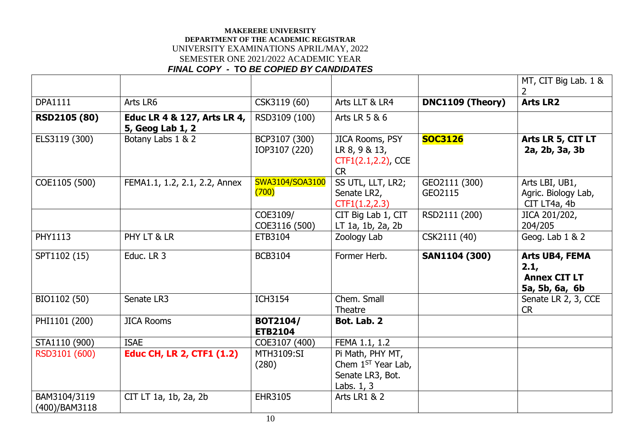|                               |                                                 |                                   |                                                                              |                          | MT, CIT Big Lab. 1 &                                            |
|-------------------------------|-------------------------------------------------|-----------------------------------|------------------------------------------------------------------------------|--------------------------|-----------------------------------------------------------------|
| <b>DPA1111</b>                | Arts LR6                                        | CSK3119 (60)                      | Arts LLT & LR4                                                               | DNC1109 (Theory)         | <b>Arts LR2</b>                                                 |
| <b>RSD2105 (80)</b>           | Educ LR 4 & 127, Arts LR 4,<br>5, Geog Lab 1, 2 | RSD3109 (100)                     | Arts LR 5 & 6                                                                |                          |                                                                 |
| ELS3119 (300)                 | Botany Labs 1 & 2                               | BCP3107 (300)<br>IOP3107 (220)    | JICA Rooms, PSY<br>LR 8, 9 & 13,<br>CTF1(2.1,2.2), CCE<br><b>CR</b>          | <b>SOC3126</b>           | Arts LR 5, CIT LT<br>2a, 2b, 3a, 3b                             |
| COE1105 (500)                 | FEMA1.1, 1.2, 2.1, 2.2, Annex                   | SWA3104/SOA3100<br>(700)          | SS UTL, LLT, LR2;<br>Senate LR2,<br>CTF1(1.2, 2.3)                           | GEO2111 (300)<br>GEO2115 | Arts LBI, UB1,<br>Agric. Biology Lab,<br>CIT LT4a, 4b           |
|                               |                                                 | COE3109/<br>COE3116 (500)         | CIT Big Lab 1, CIT<br>LT 1a, 1b, 2a, 2b                                      | RSD2111 (200)            | JICA 201/202,<br>204/205                                        |
| <b>PHY1113</b>                | PHY LT & LR                                     | ETB3104                           | Zoology Lab                                                                  | CSK2111 (40)             | Geog. Lab 1 & 2                                                 |
| SPT1102 (15)                  | Educ. LR 3                                      | <b>BCB3104</b>                    | Former Herb.                                                                 | <b>SAN1104 (300)</b>     | Arts UB4, FEMA<br>2.1,<br><b>Annex CIT LT</b><br>5a, 5b, 6a, 6b |
| BIO1102 (50)                  | Senate LR3                                      | <b>ICH3154</b>                    | Chem. Small<br>Theatre                                                       |                          | Senate LR 2, 3, CCE<br><b>CR</b>                                |
| PHI1101 (200)                 | <b>JICA Rooms</b>                               | <b>BOT2104/</b><br><b>ETB2104</b> | Bot. Lab. 2                                                                  |                          |                                                                 |
| STA1110 (900)                 | <b>ISAE</b>                                     | COE3107 (400)                     | FEMA 1.1, 1.2                                                                |                          |                                                                 |
| RSD3101 (600)                 | <b>Educ CH, LR 2, CTF1 (1.2)</b>                | MTH3109:SI<br>(280)               | Pi Math, PHY MT,<br>Chem $1ST$ Year Lab,<br>Senate LR3, Bot.<br>Labs. $1, 3$ |                          |                                                                 |
| BAM3104/3119<br>(400)/BAM3118 | CIT LT 1a, 1b, 2a, 2b                           | EHR3105                           | <b>Arts LR1 &amp; 2</b>                                                      |                          |                                                                 |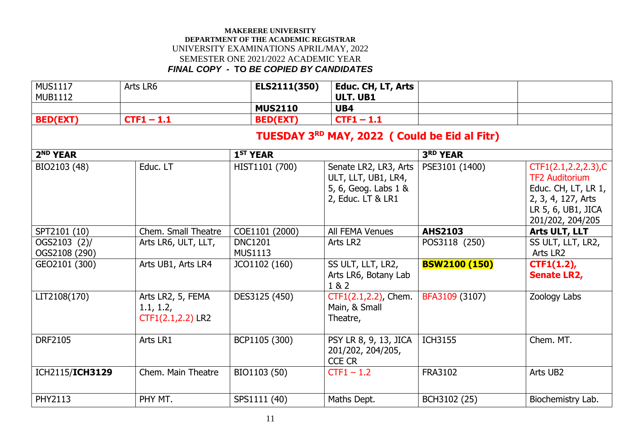| <b>MUS1117</b><br><b>MUB1112</b> | Arts LR6                                            | ELS2111(350)                     | Educ. CH, LT, Arts<br><b>ULT. UB1</b>                                                     |                      |                                                                                                                                        |
|----------------------------------|-----------------------------------------------------|----------------------------------|-------------------------------------------------------------------------------------------|----------------------|----------------------------------------------------------------------------------------------------------------------------------------|
|                                  |                                                     | <b>MUS2110</b>                   | UB4                                                                                       |                      |                                                                                                                                        |
| <b>BED(EXT)</b>                  | $CTF1 - 1.1$                                        | <b>BED(EXT)</b>                  | $CTF1 - 1.1$                                                                              |                      |                                                                                                                                        |
|                                  |                                                     |                                  | TUESDAY 3 <sup>RD</sup> MAY, 2022 ( Could be Eid al Fitr)                                 |                      |                                                                                                                                        |
| 2 <sup>ND</sup> YEAR             |                                                     | 1 <sup>ST</sup> YEAR             |                                                                                           | <b>3RD YEAR</b>      |                                                                                                                                        |
| BIO2103 (48)                     | Educ. LT                                            | HIST1101 (700)                   | Senate LR2, LR3, Arts<br>ULT, LLT, UB1, LR4,<br>5, 6, Geog. Labs 1 &<br>2, Educ. LT & LR1 | PSE3101 (1400)       | CTF1(2.1, 2.2, 2.3), C<br><b>TF2 Auditorium</b><br>Educ. CH, LT, LR 1,<br>2, 3, 4, 127, Arts<br>LR 5, 6, UB1, JICA<br>201/202, 204/205 |
| SPT2101 (10)                     | Chem. Small Theatre                                 | COE1101 (2000)                   | <b>All FEMA Venues</b>                                                                    | <b>AHS2103</b>       | Arts ULT, LLT                                                                                                                          |
| OGS2103 (2)/<br>OGS2108 (290)    | Arts LR6, ULT, LLT,                                 | <b>DNC1201</b><br><b>MUS1113</b> | Arts LR2                                                                                  | POS3118 (250)        | SS ULT, LLT, LR2,<br>Arts LR2                                                                                                          |
| GEO2101 (300)                    | Arts UB1, Arts LR4                                  | JCO1102 (160)                    | SS ULT, LLT, LR2,<br>Arts LR6, Botany Lab<br>1 & 2                                        | <b>BSW2100 (150)</b> | $CTF1(1.2)$ ,<br><b>Senate LR2,</b>                                                                                                    |
| LIT2108(170)                     | Arts LR2, 5, FEMA<br>1.1, 1.2,<br>CTF1(2.1,2.2) LR2 | DES3125 (450)                    | CTF1(2.1,2.2), Chem.<br>Main, & Small<br>Theatre,                                         | BFA3109 (3107)       | Zoology Labs                                                                                                                           |
| <b>DRF2105</b>                   | Arts LR1                                            | BCP1105 (300)                    | PSY LR 8, 9, 13, JICA<br>201/202, 204/205,<br><b>CCE CR</b>                               | <b>ICH3155</b>       | Chem. MT.                                                                                                                              |
| ICH2115/ICH3129                  | Chem. Main Theatre                                  | BIO1103 (50)                     | $CTF1 - 1.2$                                                                              | FRA3102              | Arts UB2                                                                                                                               |
| PHY2113                          | PHY MT.                                             | SPS1111 (40)                     | Maths Dept.                                                                               | BCH3102 (25)         | Biochemistry Lab.                                                                                                                      |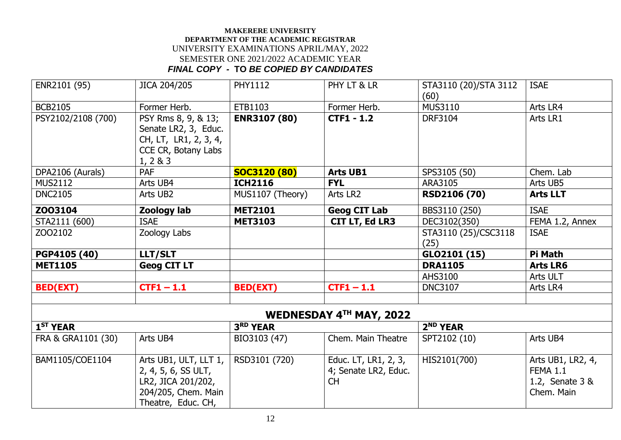| ENR2101 (95)         | JICA 204/205                                                                                            | <b>PHY1112</b>      | PHY LT & LR                                               | STA3110 (20)/STA 3112<br>(60) | <b>ISAE</b>                                                           |
|----------------------|---------------------------------------------------------------------------------------------------------|---------------------|-----------------------------------------------------------|-------------------------------|-----------------------------------------------------------------------|
| <b>BCB2105</b>       | Former Herb.                                                                                            | ETB1103             | Former Herb.                                              | <b>MUS3110</b>                | Arts LR4                                                              |
| PSY2102/2108 (700)   | PSY Rms 8, 9, & 13;<br>Senate LR2, 3, Educ.<br>CH, LT, LR1, 2, 3, 4,<br>CCE CR, Botany Labs<br>1, 2 & 3 | <b>ENR3107 (80)</b> | <b>CTF1 - 1.2</b>                                         | <b>DRF3104</b>                | Arts LR1                                                              |
| DPA2106 (Aurals)     | PAF                                                                                                     | <b>SOC3120 (80)</b> | <b>Arts UB1</b>                                           | SPS3105 (50)                  | Chem. Lab                                                             |
| <b>MUS2112</b>       | Arts UB4                                                                                                | <b>ICH2116</b>      | <b>FYL</b>                                                | ARA3105                       | Arts UB5                                                              |
| <b>DNC2105</b>       | Arts UB2                                                                                                | MUS1107 (Theory)    | Arts LR2                                                  | <b>RSD2106 (70)</b>           | <b>Arts LLT</b>                                                       |
| Z003104              | Zoology lab                                                                                             | <b>MET2101</b>      | <b>Geog CIT Lab</b>                                       | BBS3110 (250)                 | <b>ISAE</b>                                                           |
| STA2111 (600)        | <b>ISAE</b>                                                                                             | <b>MET3103</b>      | <b>CIT LT, Ed LR3</b>                                     | DEC3102(350)                  | FEMA 1.2, Annex                                                       |
| ZO02102              | Zoology Labs                                                                                            |                     |                                                           | STA3110 (25)/CSC3118<br>(25)  | <b>ISAE</b>                                                           |
| PGP4105 (40)         | LLT/SLT                                                                                                 |                     |                                                           | GLO2101 (15)                  | Pi Math                                                               |
| <b>MET1105</b>       | <b>Geog CIT LT</b>                                                                                      |                     |                                                           | <b>DRA1105</b>                | <b>Arts LR6</b>                                                       |
|                      |                                                                                                         |                     |                                                           | AHS3100                       | Arts ULT                                                              |
| <b>BED(EXT)</b>      | $CTF1 - 1.1$                                                                                            | <b>BED(EXT)</b>     | $CTF1 - 1.1$                                              | <b>DNC3107</b>                | Arts LR4                                                              |
|                      |                                                                                                         |                     | <b>WEDNESDAY 4TH MAY, 2022</b>                            |                               |                                                                       |
| 1 <sup>ST</sup> YEAR |                                                                                                         | 3RD YEAR            |                                                           | 2 <sup>ND</sup> YEAR          |                                                                       |
| FRA & GRA1101 (30)   | Arts UB4                                                                                                | BIO3103 (47)        | Chem. Main Theatre                                        | SPT2102 (10)                  | Arts UB4                                                              |
| BAM1105/COE1104      | Arts UB1, ULT, LLT 1,<br>2, 4, 5, 6, SS ULT,<br>LR2, JICA 201/202,<br>204/205, Chem. Main               | RSD3101 (720)       | Educ. LT, LR1, 2, 3,<br>4; Senate LR2, Educ.<br><b>CH</b> | HIS2101(700)                  | Arts UB1, LR2, 4,<br><b>FEMA 1.1</b><br>1.2, Senate 3 &<br>Chem. Main |

Theatre, Educ. CH,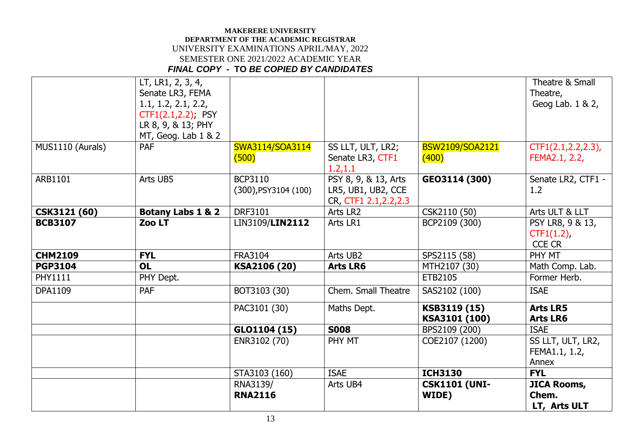|                     | LT, LR1, 2, 3, 4,<br>Senate LR3, FEMA |                           |                        |                        | Theatre & Small<br>Theatre, |
|---------------------|---------------------------------------|---------------------------|------------------------|------------------------|-----------------------------|
|                     | 1.1, 1.2, 2.1, 2.2,                   |                           |                        |                        | Geog Lab. 1 & 2,            |
|                     | CTF1(2.1,2.2); PSY                    |                           |                        |                        |                             |
|                     | LR 8, 9, & 13; PHY                    |                           |                        |                        |                             |
|                     | MT, Geog. Lab $1 \& 2$                |                           |                        |                        |                             |
| MUS1110 (Aurals)    | <b>PAF</b>                            | SWA3114/SOA3114           | SS LLT, ULT, LR2;      | <b>BSW2109/SOA2121</b> | CTF1(2.1, 2.2, 2.3),        |
|                     |                                       | (500)                     | Senate LR3, CTF1       | (400)                  | FEMA2.1, 2.2,               |
|                     |                                       |                           | 1.2, 1.1               |                        |                             |
| ARB1101             | Arts UB5                              | <b>BCP3110</b>            | PSY 8, 9, & 13, Arts   | GE03114 (300)          | Senate LR2, CTF1 -          |
|                     |                                       | $(300)$ , PSY3104 $(100)$ | LR5, UB1, UB2, CCE     |                        | 1.2                         |
|                     |                                       |                           | CR, CTF1 2.1, 2.2, 2.3 |                        |                             |
| <b>CSK3121 (60)</b> | <b>Botany Labs 1 &amp; 2</b>          | <b>DRF3101</b>            | Arts LR2               | CSK2110 (50)           | Arts ULT & LLT              |
| <b>BCB3107</b>      | Zoo LT                                | LIN3109/LIN2112           | Arts LR1               | BCP2109 (300)          | PSY LR8, 9 & 13,            |
|                     |                                       |                           |                        |                        | $CTF1(1.2)$ ,               |
|                     |                                       |                           |                        |                        | <b>CCE CR</b>               |
| <b>CHM2109</b>      | <b>FYL</b>                            | <b>FRA3104</b>            | Arts UB2               | SPS2115 (58)           | PHY MT                      |
| <b>PGP3104</b>      | <b>OL</b>                             | KSA2106 (20)              | <b>Arts LR6</b>        | MTH2107 (30)           | Math Comp. Lab.             |
| <b>PHY1111</b>      | PHY Dept.                             |                           |                        | ETB2105                | Former Herb.                |
| <b>DPA1109</b>      | <b>PAF</b>                            | BOT3103 (30)              | Chem. Small Theatre    | SAS2102 (100)          | <b>ISAE</b>                 |
|                     |                                       | PAC3101 (30)              | Maths Dept.            | KSB3119 (15)           | <b>Arts LR5</b>             |
|                     |                                       |                           |                        | KSA3101 (100)          | <b>Arts LR6</b>             |
|                     |                                       | GLO1104 (15)              | <b>S008</b>            | BPS2109 (200)          | <b>ISAE</b>                 |
|                     |                                       | ENR3102 (70)              | PHY MT                 | COE2107 (1200)         | SS LLT, ULT, LR2,           |
|                     |                                       |                           |                        |                        | FEMA1.1, 1.2,               |
|                     |                                       |                           |                        |                        | Annex                       |
|                     |                                       | STA3103 (160)             | <b>ISAE</b>            | <b>ICH3130</b>         | <b>FYL</b>                  |
|                     |                                       | RNA3139/                  | Arts UB4               | <b>CSK1101 (UNI-</b>   | <b>JICA Rooms,</b>          |
|                     |                                       | <b>RNA2116</b>            |                        | WIDE)                  | Chem.                       |
|                     |                                       |                           |                        |                        | LT, Arts ULT                |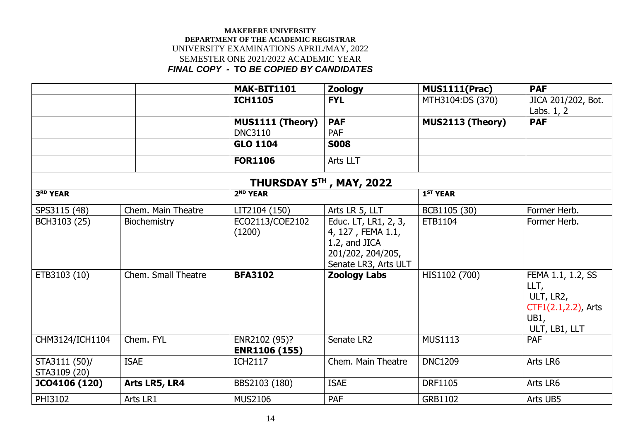|                               |                     | MAK-BIT1101                           | <b>Zoology</b>                                                                                          | <b>MUS1111(Prac)</b> | <b>PAF</b>                                                                                 |
|-------------------------------|---------------------|---------------------------------------|---------------------------------------------------------------------------------------------------------|----------------------|--------------------------------------------------------------------------------------------|
|                               |                     | <b>ICH1105</b>                        | <b>FYL</b>                                                                                              | MTH3104:DS (370)     | JICA 201/202, Bot.<br>Labs. $1, 2$                                                         |
|                               |                     | MUS1111 (Theory)                      | <b>PAF</b>                                                                                              | MUS2113 (Theory)     | <b>PAF</b>                                                                                 |
|                               |                     | <b>DNC3110</b>                        | <b>PAF</b>                                                                                              |                      |                                                                                            |
|                               |                     | <b>GLO 1104</b>                       | <b>S008</b>                                                                                             |                      |                                                                                            |
|                               |                     | <b>FOR1106</b>                        | Arts LLT                                                                                                |                      |                                                                                            |
|                               |                     | THURSDAY 5TH, MAY, 2022               |                                                                                                         |                      |                                                                                            |
| 3RD YEAR                      |                     | 2 <sup>ND</sup> YEAR                  |                                                                                                         | 1 <sup>ST</sup> YEAR |                                                                                            |
| SPS3115 (48)                  | Chem. Main Theatre  | LIT2104 (150)                         | Arts LR 5, LLT                                                                                          | BCB1105 (30)         | Former Herb.                                                                               |
| BCH3103 (25)                  | Biochemistry        | ECO2113/COE2102<br>(1200)             | Educ. LT, LR1, 2, 3,<br>4, 127, FEMA 1.1,<br>1.2, and JICA<br>201/202, 204/205,<br>Senate LR3, Arts ULT | ETB1104              | Former Herb.                                                                               |
| ETB3103 (10)                  | Chem. Small Theatre | <b>BFA3102</b>                        | <b>Zoology Labs</b>                                                                                     | HIS1102 (700)        | FEMA 1.1, 1.2, SS<br>LLT,<br>ULT, LR2,<br>$CTF1(2.1, 2.2)$ , Arts<br>UB1,<br>ULT, LB1, LLT |
| CHM3124/ICH1104               | Chem. FYL           | ENR2102 (95)?<br><b>ENR1106 (155)</b> | Senate LR2                                                                                              | <b>MUS1113</b>       | PAF                                                                                        |
| STA3111 (50)/<br>STA3109 (20) | <b>ISAE</b>         | <b>ICH2117</b>                        | Chem. Main Theatre                                                                                      | <b>DNC1209</b>       | Arts LR6                                                                                   |
| JCO4106 (120)                 | Arts LR5, LR4       | BBS2103 (180)                         | <b>ISAE</b>                                                                                             | <b>DRF1105</b>       | Arts LR6                                                                                   |
| PHI3102                       | Arts LR1            | <b>MUS2106</b>                        | PAF                                                                                                     | GRB1102              | Arts UB5                                                                                   |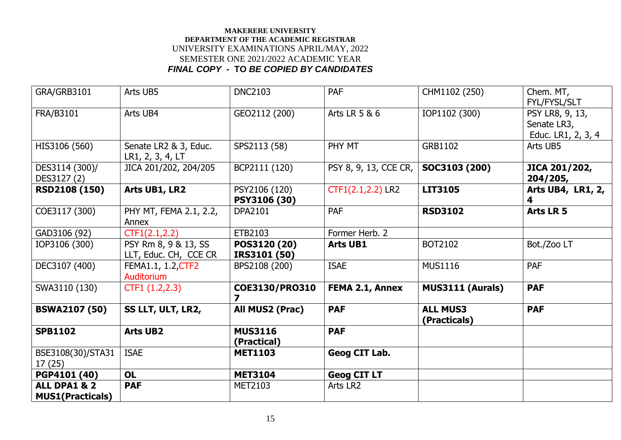| GRA/GRB3101                                        | Arts UB5                                      | <b>DNC2103</b>                            | <b>PAF</b>            | CHM1102 (250)                   | Chem. MT,<br>FYL/FYSL/SLT                            |
|----------------------------------------------------|-----------------------------------------------|-------------------------------------------|-----------------------|---------------------------------|------------------------------------------------------|
| FRA/B3101                                          | Arts UB4                                      | GEO2112 (200)                             | Arts LR 5 & 6         | IOP1102 (300)                   | PSY LR8, 9, 13,<br>Senate LR3,<br>Educ. LR1, 2, 3, 4 |
| HIS3106 (560)                                      | Senate LR2 & 3, Educ.<br>LR1, 2, 3, 4, LT     | SPS2113 (58)                              | PHY MT                | GRB1102                         | Arts UB5                                             |
| DES3114 (300)/<br>DES3127 (2)                      | JICA 201/202, 204/205                         | BCP2111 (120)                             | PSY 8, 9, 13, CCE CR, | SOC3103 (200)                   | JICA 201/202,<br>204/205,                            |
| <b>RSD2108 (150)</b>                               | Arts UB1, LR2                                 | PSY2106 (120)<br>PSY3106 (30)             | CTF1(2.1,2.2) LR2     | LIT3105                         | Arts UB4, LR1, 2,                                    |
| COE3117 (300)                                      | PHY MT, FEMA 2.1, 2.2,<br>Annex               | <b>DPA2101</b>                            | <b>PAF</b>            | <b>RSD3102</b>                  | Arts LR 5                                            |
| GAD3106 (92)                                       | CTF1(2.1, 2.2)                                | ETB2103                                   | Former Herb. 2        |                                 |                                                      |
| IOP3106 (300)                                      | PSY Rm 8, 9 & 13, SS<br>LLT, Educ. CH, CCE CR | POS3120 (20)<br>IRS3101 (50)              | <b>Arts UB1</b>       | BOT2102                         | Bot./Zoo LT                                          |
| DEC3107 (400)                                      | FEMA1.1, 1.2, CTF2<br>Auditorium              | BPS2108 (200)                             | <b>ISAE</b>           | <b>MUS1116</b>                  | <b>PAF</b>                                           |
| SWA3110 (130)                                      | CTF1 (1.2, 2.3)                               | COE3130/PRO310<br>$\overline{\mathbf{z}}$ | FEMA 2.1, Annex       | MUS3111 (Aurals)                | <b>PAF</b>                                           |
| <b>BSWA2107 (50)</b>                               | SS LLT, ULT, LR2,                             | All MUS2 (Prac)                           | <b>PAF</b>            | <b>ALL MUS3</b><br>(Practicals) | <b>PAF</b>                                           |
| <b>SPB1102</b>                                     | <b>Arts UB2</b>                               | <b>MUS3116</b><br>(Practical)             | <b>PAF</b>            |                                 |                                                      |
| BSE3108(30)/STA31<br>17(25)                        | <b>ISAE</b>                                   | <b>MET1103</b>                            | Geog CIT Lab.         |                                 |                                                      |
| PGP4101 (40)                                       | <b>OL</b>                                     | <b>MET3104</b>                            | <b>Geog CIT LT</b>    |                                 |                                                      |
| <b>ALL DPA1 &amp; 2</b><br><b>MUS1(Practicals)</b> | <b>PAF</b>                                    | MET2103                                   | Arts LR2              |                                 |                                                      |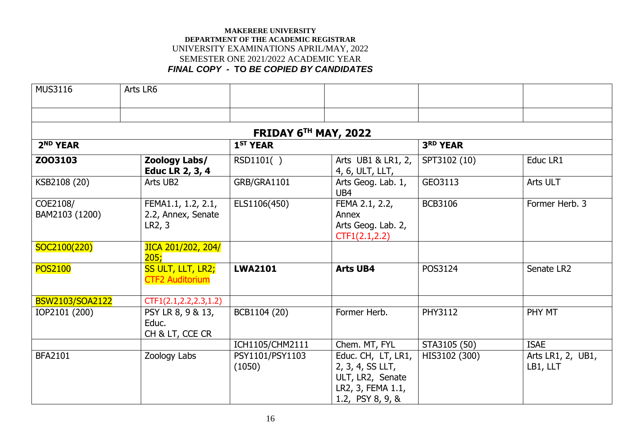| <b>MUS3116</b>             | Arts LR6                                           |                           |                                                                                                     |                |                               |
|----------------------------|----------------------------------------------------|---------------------------|-----------------------------------------------------------------------------------------------------|----------------|-------------------------------|
|                            |                                                    |                           |                                                                                                     |                |                               |
|                            |                                                    | FRIDAY 6TH MAY, 2022      |                                                                                                     |                |                               |
| 2 <sup>ND</sup> YEAR       |                                                    | 1 <sup>ST</sup> YEAR      |                                                                                                     | 3RD YEAR       |                               |
| Z003103                    | Zoology Labs/<br>Educ LR 2, 3, 4                   | RSD1101()                 | Arts UB1 & LR1, 2,<br>4, 6, ULT, LLT,                                                               | SPT3102 (10)   | Educ LR1                      |
| KSB2108 (20)               | Arts UB2                                           | GRB/GRA1101               | Arts Geog. Lab. 1,<br>UB4                                                                           | GEO3113        | Arts ULT                      |
| COE2108/<br>BAM2103 (1200) | FEMA1.1, 1.2, 2.1,<br>2.2, Annex, Senate<br>LR2, 3 | ELS1106(450)              | FEMA 2.1, 2.2,<br>Annex<br>Arts Geog. Lab. 2,<br>CTF1(2.1, 2.2)                                     | <b>BCB3106</b> | Former Herb. 3                |
| SOC2100(220)               | JICA 201/202, 204/<br>205;                         |                           |                                                                                                     |                |                               |
| <b>POS2100</b>             | SS ULT, LLT, LR2;<br><b>CTF2 Auditorium</b>        | <b>LWA2101</b>            | <b>Arts UB4</b>                                                                                     | POS3124        | Senate LR2                    |
| <b>BSW2103/SOA2122</b>     | CTF1(2.1, 2.2, 2.3, 1.2)                           |                           |                                                                                                     |                |                               |
| IOP2101 (200)              | PSY LR 8, 9 & 13,<br>Educ.<br>CH & LT, CCE CR      | BCB1104 (20)              | Former Herb.                                                                                        | PHY3112        | PHY MT                        |
|                            |                                                    | ICH1105/CHM2111           | Chem. MT, FYL                                                                                       | STA3105 (50)   | <b>ISAE</b>                   |
| <b>BFA2101</b>             | Zoology Labs                                       | PSY1101/PSY1103<br>(1050) | Educ. CH, LT, LR1,<br>2, 3, 4, SS LLT,<br>ULT, LR2, Senate<br>LR2, 3, FEMA 1.1,<br>1.2, PSY 8, 9, & | HIS3102 (300)  | Arts LR1, 2, UB1,<br>LB1, LLT |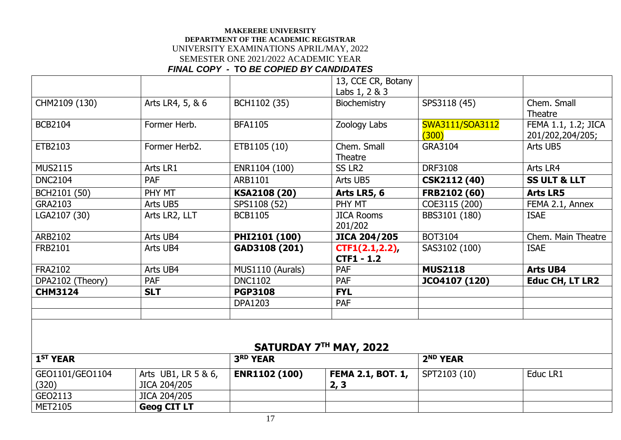|                      |                  |                  | 13, CCE CR, Botany     |                      |                         |
|----------------------|------------------|------------------|------------------------|----------------------|-------------------------|
|                      |                  |                  | Labs 1, 2 & 3          |                      |                         |
| CHM2109 (130)        | Arts LR4, 5, & 6 | BCH1102 (35)     | <b>Biochemistry</b>    | SPS3118 (45)         | Chem. Small             |
|                      |                  |                  |                        |                      | Theatre                 |
| <b>BCB2104</b>       | Former Herb.     | <b>BFA1105</b>   | Zoology Labs           | SWA3111/SOA3112      | FEMA 1.1, 1.2; JICA     |
|                      |                  |                  |                        | (300)                | 201/202,204/205;        |
| ETB2103              | Former Herb2.    | ETB1105 (10)     | Chem. Small            | GRA3104              | Arts UB5                |
|                      |                  |                  | Theatre                |                      |                         |
| <b>MUS2115</b>       | Arts LR1         | ENR1104 (100)    | SS LR <sub>2</sub>     | <b>DRF3108</b>       | Arts LR4                |
| <b>DNC2104</b>       | <b>PAF</b>       | ARB1101          | Arts UB5               | <b>CSK2112 (40)</b>  | <b>SS ULT &amp; LLT</b> |
| BCH2101 (50)         | PHY MT           | KSA2108 (20)     | Arts LR5, 6            | FRB2102 (60)         | <b>Arts LR5</b>         |
| GRA2103              | Arts UB5         | SPS1108 (52)     | PHY MT                 | COE3115 (200)        | FEMA 2.1, Annex         |
| LGA2107 (30)         | Arts LR2, LLT    | <b>BCB1105</b>   | <b>JICA Rooms</b>      | BBS3101 (180)        | <b>ISAE</b>             |
|                      |                  |                  | 201/202                |                      |                         |
| ARB2102              | Arts UB4         | PHI2101 (100)    | <b>JICA 204/205</b>    | BOT3104              | Chem. Main Theatre      |
| <b>FRB2101</b>       | Arts UB4         | GAD3108 (201)    | CTF1(2.1, 2.2)         | SAS3102 (100)        | <b>ISAE</b>             |
|                      |                  |                  | <b>CTF1 - 1.2</b>      |                      |                         |
| <b>FRA2102</b>       | Arts UB4         | MUS1110 (Aurals) | PAF                    | <b>MUS2118</b>       | <b>Arts UB4</b>         |
| DPA2102 (Theory)     | PAF              | <b>DNC1102</b>   | <b>PAF</b>             | JCO4107 (120)        | <b>Educ CH, LT LR2</b>  |
| <b>CHM3124</b>       | <b>SLT</b>       | <b>PGP3108</b>   | <b>FYL</b>             |                      |                         |
|                      |                  | <b>DPA1203</b>   | PAF                    |                      |                         |
|                      |                  |                  |                        |                      |                         |
|                      |                  |                  |                        |                      |                         |
|                      |                  |                  |                        |                      |                         |
|                      |                  |                  | SATURDAY 7TH MAY, 2022 |                      |                         |
| 1 <sup>ST</sup> YEAR |                  | 3RD YEAR         |                        | 2 <sup>ND</sup> YEAR |                         |

| <b>1<sup>51</sup> YEAR</b> |                        | 3 <sup>RD</sup> YEAR |                     | 2 <sup>nu</sup> YEAR |          |
|----------------------------|------------------------|----------------------|---------------------|----------------------|----------|
| GEO1101/GEO1104            | Arts UB1, LR $5 & 6$ , | <b>ENR1102 (100)</b> | ' FEMA 2.1, BOT. 1, | SPT2103 (10)         | Educ LR1 |
| (320)                      | JICA 204/205           |                      | $\mathbf{z}$        |                      |          |
| GEO2113                    | JICA 204/205           |                      |                     |                      |          |
| <b>MET2105</b>             | <b>Geog CIT LT</b>     |                      |                     |                      |          |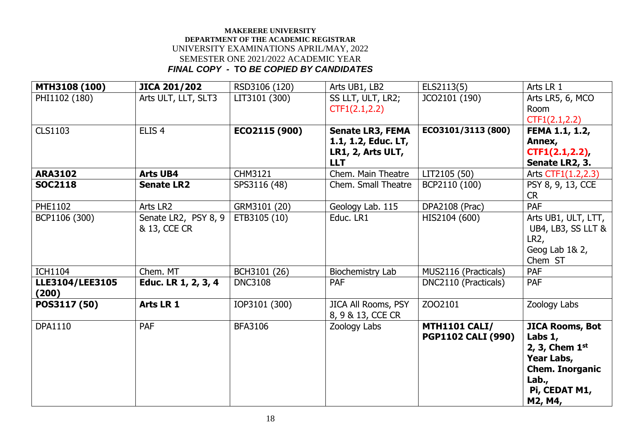| MTH3108 (100)   | <b>JICA 201/202</b>  | RSD3106 (120)  | Arts UB1, LB2              | ELS2113(5)                | Arts LR 1              |
|-----------------|----------------------|----------------|----------------------------|---------------------------|------------------------|
| PHI1102 (180)   | Arts ULT, LLT, SLT3  | LIT3101 (300)  | SS LLT, ULT, LR2;          | JCO2101 (190)             | Arts LR5, 6, MCO       |
|                 |                      |                | CTF1(2.1, 2.2)             |                           | <b>Room</b>            |
|                 |                      |                |                            |                           | CTF1(2.1, 2.2)         |
| <b>CLS1103</b>  | ELIS <sub>4</sub>    | ECO2115 (900)  | <b>Senate LR3, FEMA</b>    | EC03101/3113 (800)        | FEMA 1.1, 1.2,         |
|                 |                      |                | 1.1, 1.2, Educ. LT,        |                           | Annex,                 |
|                 |                      |                | LR1, 2, Arts ULT,          |                           | CTF1(2.1, 2.2)         |
|                 |                      |                | <b>LLT</b>                 |                           | Senate LR2, 3.         |
| <b>ARA3102</b>  | <b>Arts UB4</b>      | CHM3121        | Chem. Main Theatre         | LIT2105 (50)              | Arts CTF1(1.2,2.3)     |
| <b>SOC2118</b>  | <b>Senate LR2</b>    | SPS3116 (48)   | Chem. Small Theatre        | BCP2110 (100)             | PSY 8, 9, 13, CCE      |
|                 |                      |                |                            |                           | <b>CR</b>              |
| PHE1102         | Arts LR2             | GRM3101 (20)   | Geology Lab. 115           | <b>DPA2108 (Prac)</b>     | PAF                    |
| BCP1106 (300)   | Senate LR2, PSY 8, 9 | ETB3105 (10)   | Educ. LR1                  | HIS2104 (600)             | Arts UB1, ULT, LTT,    |
|                 | & 13, CCE CR         |                |                            |                           | UB4, LB3, SS LLT &     |
|                 |                      |                |                            |                           | LR2,                   |
|                 |                      |                |                            |                           | Geog Lab 1& 2,         |
|                 |                      |                |                            |                           | Chem ST                |
| <b>ICH1104</b>  | Chem. MT             | BCH3101 (26)   | Biochemistry Lab           | MUS2116 (Practicals)      | PAF                    |
| LLE3104/LEE3105 | Educ. LR 1, 2, 3, 4  | <b>DNC3108</b> | <b>PAF</b>                 | DNC2110 (Practicals)      | <b>PAF</b>             |
| (200)           |                      |                |                            |                           |                        |
| POS3117 (50)    | Arts LR 1            | IOP3101 (300)  | <b>JICA All Rooms, PSY</b> | ZO02101                   | Zoology Labs           |
|                 |                      |                | 8, 9 & 13, CCE CR          |                           |                        |
| <b>DPA1110</b>  | <b>PAF</b>           | <b>BFA3106</b> | Zoology Labs               | <b>MTH1101 CALI/</b>      | <b>JICA Rooms, Bot</b> |
|                 |                      |                |                            | <b>PGP1102 CALI (990)</b> | Labs $1,$              |
|                 |                      |                |                            |                           | 2, 3, Chem $1st$       |
|                 |                      |                |                            |                           | Year Labs,             |
|                 |                      |                |                            |                           | <b>Chem. Inorganic</b> |
|                 |                      |                |                            |                           | Lab.                   |
|                 |                      |                |                            |                           | Pi, CEDAT M1,          |
|                 |                      |                |                            |                           | M2, M4,                |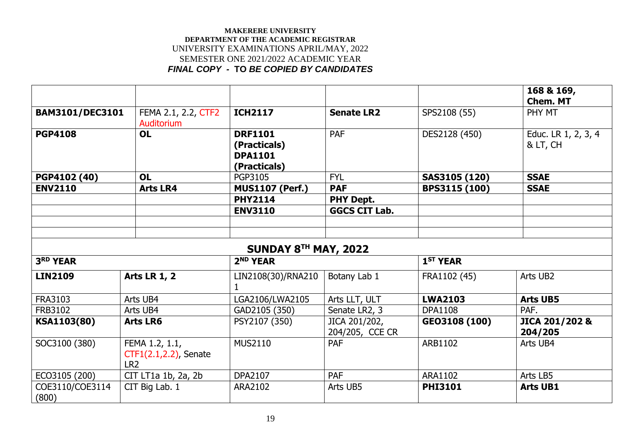|                          |                                                            |                                                                  |                                  |                      | 168 & 169,<br><b>Chem. MT</b>   |
|--------------------------|------------------------------------------------------------|------------------------------------------------------------------|----------------------------------|----------------------|---------------------------------|
| <b>BAM3101/DEC3101</b>   | FEMA 2.1, 2.2, CTF2<br>Auditorium                          | <b>ICH2117</b>                                                   | <b>Senate LR2</b>                | SPS2108 (55)         | PHY MT                          |
| <b>PGP4108</b>           | <b>OL</b>                                                  | <b>DRF1101</b><br>(Practicals)<br><b>DPA1101</b><br>(Practicals) | <b>PAF</b>                       | DES2128 (450)        | Educ. LR 1, 2, 3, 4<br>& LT, CH |
| PGP4102 (40)             | <b>OL</b>                                                  | <b>PGP3105</b>                                                   | <b>FYL</b>                       | SAS3105 (120)        | <b>SSAE</b>                     |
| <b>ENV2110</b>           | <b>Arts LR4</b>                                            | <b>MUS1107 (Perf.)</b>                                           | <b>PAF</b>                       | BPS3115 (100)        | <b>SSAE</b>                     |
|                          |                                                            | <b>PHY2114</b>                                                   | <b>PHY Dept.</b>                 |                      |                                 |
|                          |                                                            | <b>ENV3110</b>                                                   | <b>GGCS CIT Lab.</b>             |                      |                                 |
|                          |                                                            |                                                                  |                                  |                      |                                 |
|                          |                                                            |                                                                  |                                  |                      |                                 |
|                          |                                                            | SUNDAY 8TH MAY, 2022                                             |                                  |                      |                                 |
| 3RD YEAR                 |                                                            | 2 <sup>ND</sup> YEAR                                             |                                  | 1 <sup>ST</sup> YEAR |                                 |
| <b>LIN2109</b>           | <b>Arts LR 1, 2</b>                                        | LIN2108(30)/RNA210                                               | Botany Lab 1                     | FRA1102 (45)         | Arts UB2                        |
| <b>FRA3103</b>           | Arts UB4                                                   | LGA2106/LWA2105                                                  | Arts LLT, ULT                    | <b>LWA2103</b>       | <b>Arts UB5</b>                 |
| <b>FRB3102</b>           | Arts UB4                                                   | GAD2105 (350)                                                    | Senate LR2, 3                    | <b>DPA1108</b>       | PAF.                            |
| KSA1103(80)              | <b>Arts LR6</b>                                            | PSY2107 (350)                                                    | JICA 201/202,<br>204/205, CCE CR | GEO3108 (100)        | JICA 201/202 &<br>204/205       |
| SOC3100 (380)            | FEMA 1.2, 1.1,<br>CTF1(2.1,2.2), Senate<br>LR <sub>2</sub> | <b>MUS2110</b>                                                   | <b>PAF</b>                       | ARB1102              | Arts UB4                        |
| ECO3105 (200)            | CIT LT1a 1b, 2a, 2b                                        | <b>DPA2107</b>                                                   | <b>PAF</b>                       | ARA1102              | Arts LB5                        |
| COE3110/COE3114<br>(800) | CIT Big Lab. 1                                             | ARA2102                                                          | Arts UB5                         | <b>PHI3101</b>       | <b>Arts UB1</b>                 |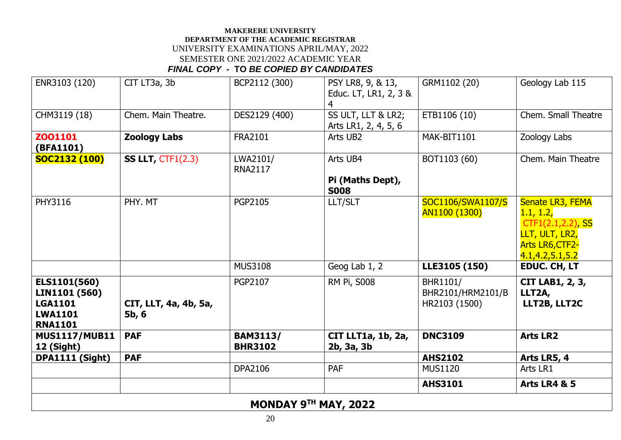| ENR3103 (120)                                                                       | CIT LT3a, 3b                   | BCP2112 (300)                     | PSY LR8, 9, & 13,<br>Educ. LT, LR1, 2, 3 &<br>4 | GRM1102 (20)                                   | Geology Lab 115                                                                                                      |  |  |
|-------------------------------------------------------------------------------------|--------------------------------|-----------------------------------|-------------------------------------------------|------------------------------------------------|----------------------------------------------------------------------------------------------------------------------|--|--|
| CHM3119 (18)                                                                        | Chem. Main Theatre.            | DES2129 (400)                     | SS ULT, LLT & LR2;<br>Arts LR1, 2, 4, 5, 6      | ETB1106 (10)                                   | Chem. Small Theatre                                                                                                  |  |  |
| Z001101<br>(BFA1101)                                                                | <b>Zoology Labs</b>            | <b>FRA2101</b>                    | Arts UB2                                        | MAK-BIT1101                                    | Zoology Labs                                                                                                         |  |  |
| <b>SOC2132 (100)</b>                                                                | SS LLT, $CTF1(2.3)$            | LWA2101/<br><b>RNA2117</b>        | Arts UB4<br>Pi (Maths Dept),<br><b>S008</b>     | BOT1103 (60)                                   | Chem. Main Theatre                                                                                                   |  |  |
| PHY3116                                                                             | PHY. MT                        | PGP2105                           | LLT/SLT                                         | SOC1106/SWA1107/S<br>AN1100 (1300)             | Senate LR3, FEMA<br>1.1, 1.2,<br>CTF1(2.1,2.2), SS<br>LLT, ULT, LR2,<br><b>Arts LR6, CTF2-</b><br>4.1, 4.2, 5.1, 5.2 |  |  |
|                                                                                     |                                | <b>MUS3108</b>                    | Geog Lab 1, 2                                   | LLE3105 (150)                                  | <b>EDUC. CH, LT</b>                                                                                                  |  |  |
| ELS1101(560)<br>LIN1101 (560)<br><b>LGA1101</b><br><b>LWA1101</b><br><b>RNA1101</b> | CIT, LLT, 4a, 4b, 5a,<br>5b, 6 | <b>PGP2107</b>                    | <b>RM Pi, S008</b>                              | BHR1101/<br>BHR2101/HRM2101/B<br>HR2103 (1500) | <b>CIT LAB1, 2, 3,</b><br>LLT2A,<br>LLT2B, LLT2C                                                                     |  |  |
| <b>MUS1117/MUB11</b><br><b>12 (Sight)</b>                                           | <b>PAF</b>                     | <b>BAM3113/</b><br><b>BHR3102</b> | CIT LLT1a, 1b, 2a,<br>2b, 3a, 3b                | <b>DNC3109</b>                                 | <b>Arts LR2</b>                                                                                                      |  |  |
| DPA1111 (Sight)                                                                     | <b>PAF</b>                     |                                   |                                                 | <b>AHS2102</b>                                 | Arts LR5, 4                                                                                                          |  |  |
|                                                                                     |                                | <b>DPA2106</b>                    | <b>PAF</b>                                      | <b>MUS1120</b>                                 | Arts LR1                                                                                                             |  |  |
|                                                                                     |                                |                                   |                                                 | <b>AHS3101</b>                                 | <b>Arts LR4 &amp; 5</b>                                                                                              |  |  |
| MONDAY 9TH MAY, 2022                                                                |                                |                                   |                                                 |                                                |                                                                                                                      |  |  |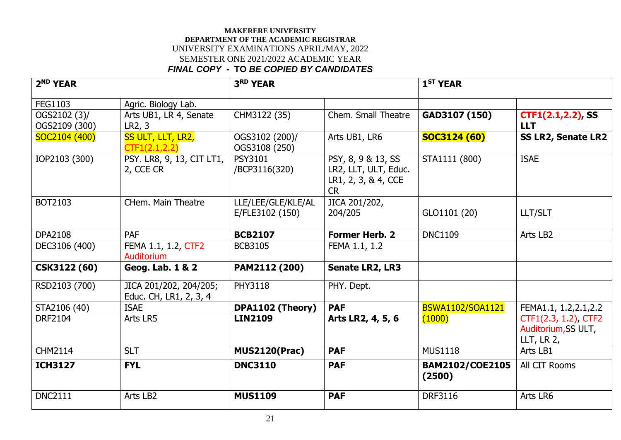| 2 <sup>ND</sup> YEAR          |                                                  | 3RD YEAR                              |                                                                                | 1 <sup>ST</sup> YEAR             |                                                              |
|-------------------------------|--------------------------------------------------|---------------------------------------|--------------------------------------------------------------------------------|----------------------------------|--------------------------------------------------------------|
| FEG1103                       | Agric. Biology Lab.                              |                                       |                                                                                |                                  |                                                              |
| OGS2102 (3)/<br>OGS2109 (300) | Arts UB1, LR 4, Senate<br>LR2, 3                 | CHM3122 (35)                          | Chem. Small Theatre                                                            | GAD3107 (150)                    | CTF1(2.1,2.2), SS<br><b>LLT</b>                              |
| SOC2104 (400)                 | SS ULT, LLT, LR2,<br>CTF1(2.1, 2.2)              | OGS3102 (200)/<br>OGS3108 (250)       | Arts UB1, LR6                                                                  | <b>SOC3124 (60)</b>              | <b>SS LR2, Senate LR2</b>                                    |
| IOP2103 (300)                 | PSY. LR8, 9, 13, CIT LT1,<br>2, CCE CR           | <b>PSY3101</b><br>/BCP3116(320)       | PSY, 8, 9 & 13, SS<br>LR2, LLT, ULT, Educ.<br>LR1, 2, 3, & 4, CCE<br><b>CR</b> | STA1111 (800)                    | <b>ISAE</b>                                                  |
| BOT2103                       | CHem. Main Theatre                               | LLE/LEE/GLE/KLE/AL<br>E/FLE3102 (150) | JICA 201/202,<br>204/205                                                       | GLO1101 (20)                     | <b>LLT/SLT</b>                                               |
| <b>DPA2108</b>                | <b>PAF</b>                                       | <b>BCB2107</b>                        | <b>Former Herb. 2</b>                                                          | <b>DNC1109</b>                   | Arts LB2                                                     |
| DEC3106 (400)                 | FEMA 1.1, 1.2, CTF2<br>Auditorium                | <b>BCB3105</b>                        | FEMA 1.1, 1.2                                                                  |                                  |                                                              |
| CSK3122 (60)                  | Geog. Lab. 1 & 2                                 | PAM2112 (200)                         | <b>Senate LR2, LR3</b>                                                         |                                  |                                                              |
| RSD2103 (700)                 | JICA 201/202, 204/205;<br>Educ. CH, LR1, 2, 3, 4 | <b>PHY3118</b>                        | PHY. Dept.                                                                     |                                  |                                                              |
| STA2106 (40)                  | <b>ISAE</b>                                      | DPA1102 (Theory)                      | <b>PAF</b>                                                                     | <b>BSWA1102/SOA1121</b>          | FEMA1.1, 1.2, 2.1, 2.2                                       |
| <b>DRF2104</b>                | Arts LR5                                         | <b>LIN2109</b>                        | Arts LR2, 4, 5, 6                                                              | (1000)                           | CTF1(2.3, 1.2), CTF2<br>Auditorium, SS ULT,<br>LLT, LR $2$ , |
| <b>CHM2114</b>                | <b>SLT</b>                                       | <b>MUS2120(Prac)</b>                  | <b>PAF</b>                                                                     | <b>MUS1118</b>                   | Arts LB1                                                     |
| <b>ICH3127</b>                | <b>FYL</b>                                       | <b>DNC3110</b>                        | <b>PAF</b>                                                                     | <b>BAM2102/COE2105</b><br>(2500) | All CIT Rooms                                                |
| <b>DNC2111</b>                | Arts LB2                                         | <b>MUS1109</b>                        | <b>PAF</b>                                                                     | <b>DRF3116</b>                   | Arts LR6                                                     |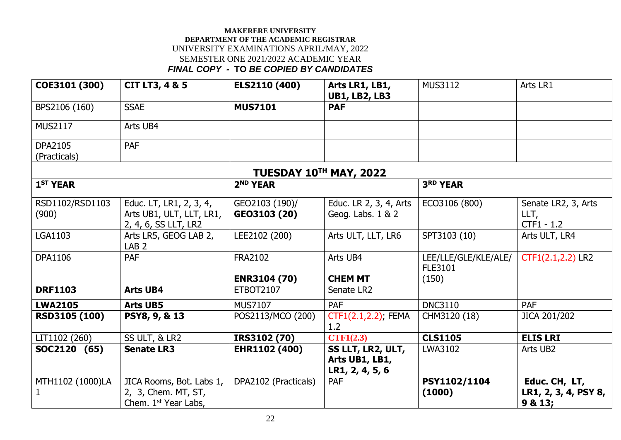| COE3101 (300)                  | <b>CIT LT3, 4 &amp; 5</b>                                                           | ELS2110 (400)                  | Arts LR1, LB1,<br><b>UB1, LB2, LB3</b>                 | <b>MUS3112</b>                         | Arts LR1                                         |
|--------------------------------|-------------------------------------------------------------------------------------|--------------------------------|--------------------------------------------------------|----------------------------------------|--------------------------------------------------|
| BPS2106 (160)                  | <b>SSAE</b>                                                                         | <b>MUS7101</b>                 | <b>PAF</b>                                             |                                        |                                                  |
| <b>MUS2117</b>                 | Arts UB4                                                                            |                                |                                                        |                                        |                                                  |
| <b>DPA2105</b><br>(Practicals) | PAF                                                                                 |                                |                                                        |                                        |                                                  |
|                                |                                                                                     | TUESDAY 10TH MAY, 2022         |                                                        |                                        |                                                  |
| 1 <sup>ST</sup> YEAR           |                                                                                     | 2 <sup>ND</sup> YEAR           |                                                        | 3RD YEAR                               |                                                  |
| RSD1102/RSD1103<br>(900)       | Educ. LT, LR1, 2, 3, 4,<br>Arts UB1, ULT, LLT, LR1,<br>2, 4, 6, SS LLT, LR2         | GEO2103 (190)/<br>GEO3103 (20) | Educ. LR 2, 3, 4, Arts<br>Geog. Labs. 1 & 2            | ECO3106 (800)                          | Senate LR2, 3, Arts<br>LLT,<br>$CTF1 - 1.2$      |
| <b>LGA1103</b>                 | Arts LR5, GEOG LAB 2,<br>LAB <sub>2</sub>                                           | LEE2102 (200)                  | Arts ULT, LLT, LR6                                     | SPT3103 (10)                           | Arts ULT, LR4                                    |
| <b>DPA1106</b>                 | <b>PAF</b>                                                                          | <b>FRA2102</b>                 | Arts UB4                                               | LEE/LLE/GLE/KLE/ALE/<br><b>FLE3101</b> | CTF1(2.1,2.2) LR2                                |
|                                |                                                                                     | <b>ENR3104 (70)</b>            | <b>CHEM MT</b>                                         | (150)                                  |                                                  |
| <b>DRF1103</b>                 | <b>Arts UB4</b>                                                                     | <b>ETBOT2107</b>               | Senate LR2                                             |                                        |                                                  |
| <b>LWA2105</b>                 | <b>Arts UB5</b>                                                                     | <b>MUS7107</b>                 | <b>PAF</b>                                             | <b>DNC3110</b>                         | <b>PAF</b>                                       |
| RSD3105 (100)                  | PSY8, 9, & 13                                                                       | POS2113/MCO (200)              | CTF1(2.1,2.2); FEMA<br>1.2                             | CHM3120 (18)                           | JICA 201/202                                     |
| LIT1102 (260)                  | SS ULT, & LR2                                                                       | IRS3102 (70)                   | CTF1(2.3)                                              | <b>CLS1105</b>                         | <b>ELIS LRI</b>                                  |
| SOC2120 (65)                   | <b>Senate LR3</b>                                                                   | EHR1102 (400)                  | SS LLT, LR2, ULT,<br>Arts UB1, LB1,<br>LR1, 2, 4, 5, 6 | LWA3102                                | Arts UB2                                         |
| MTH1102 (1000)LA               | JICA Rooms, Bot. Labs 1,<br>2, 3, Chem. MT, ST,<br>Chem. 1 <sup>st</sup> Year Labs, | DPA2102 (Practicals)           | <b>PAF</b>                                             | PSY1102/1104<br>(1000)                 | Educ. CH, LT,<br>LR1, 2, 3, 4, PSY 8,<br>9 & 13; |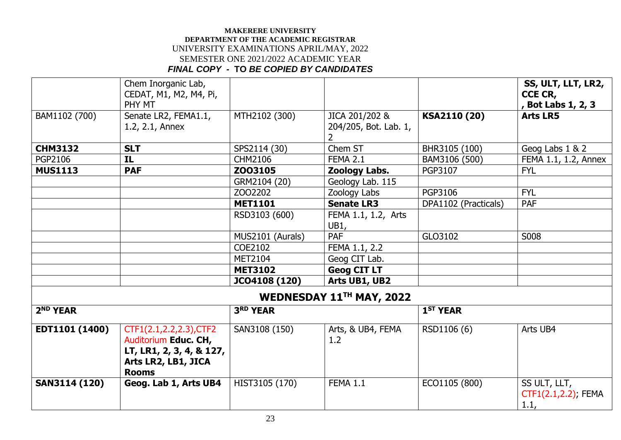|                      | Chem Inorganic Lab,<br>CEDAT, M1, M2, M4, Pi,<br>PHY MT                                                            |                  |                                              |                      | SS, ULT, LLT, LR2,<br>CCE CR,<br>, Bot Labs 1, 2, 3 |
|----------------------|--------------------------------------------------------------------------------------------------------------------|------------------|----------------------------------------------|----------------------|-----------------------------------------------------|
| BAM1102 (700)        | Senate LR2, FEMA1.1,<br>1.2, 2.1, Annex                                                                            | MTH2102 (300)    | JICA 201/202 &<br>204/205, Bot. Lab. 1,<br>2 | KSA2110 (20)         | <b>Arts LR5</b>                                     |
| <b>CHM3132</b>       | <b>SLT</b>                                                                                                         | SPS2114 (30)     | Chem ST                                      | BHR3105 (100)        | Geog Labs 1 & 2                                     |
| PGP2106              | IL                                                                                                                 | CHM2106          | <b>FEMA 2.1</b>                              | BAM3106 (500)        | FEMA 1.1, 1.2, Annex                                |
| <b>MUS1113</b>       | <b>PAF</b>                                                                                                         | Z003105          | Zoology Labs.                                | PGP3107              | <b>FYL</b>                                          |
|                      |                                                                                                                    | GRM2104 (20)     | Geology Lab. 115                             |                      |                                                     |
|                      |                                                                                                                    | ZO02202          | Zoology Labs                                 | PGP3106              | <b>FYL</b>                                          |
|                      |                                                                                                                    | <b>MET1101</b>   | <b>Senate LR3</b>                            | DPA1102 (Practicals) | PAF                                                 |
|                      |                                                                                                                    | RSD3103 (600)    | FEMA 1.1, 1.2, Arts<br>UB1,                  |                      |                                                     |
|                      |                                                                                                                    | MUS2101 (Aurals) | PAF                                          | GLO3102              | S008                                                |
|                      |                                                                                                                    | COE2102          | FEMA 1.1, 2.2                                |                      |                                                     |
|                      |                                                                                                                    | <b>MET2104</b>   | Geog CIT Lab.                                |                      |                                                     |
|                      |                                                                                                                    | <b>MET3102</b>   | <b>Geog CIT LT</b>                           |                      |                                                     |
|                      |                                                                                                                    | JCO4108 (120)    | Arts UB1, UB2                                |                      |                                                     |
|                      |                                                                                                                    |                  | WEDNESDAY 11TH MAY, 2022                     |                      |                                                     |
| 2 <sup>ND</sup> YEAR |                                                                                                                    | 3RD YEAR         |                                              | 1 <sup>ST</sup> YEAR |                                                     |
| EDT1101 (1400)       | CTF1(2.1,2.2,2.3), CTF2<br>Auditorium Educ. CH,<br>LT, LR1, 2, 3, 4, & 127,<br>Arts LR2, LB1, JICA<br><b>Rooms</b> | SAN3108 (150)    | Arts, & UB4, FEMA<br>1.2                     | RSD1106 (6)          | Arts UB4                                            |
| <b>SAN3114 (120)</b> | Geog. Lab 1, Arts UB4                                                                                              | HIST3105 (170)   | <b>FEMA 1.1</b>                              | ECO1105 (800)        | SS ULT, LLT,<br>CTF1(2.1,2.2); FEMA<br>1.1,         |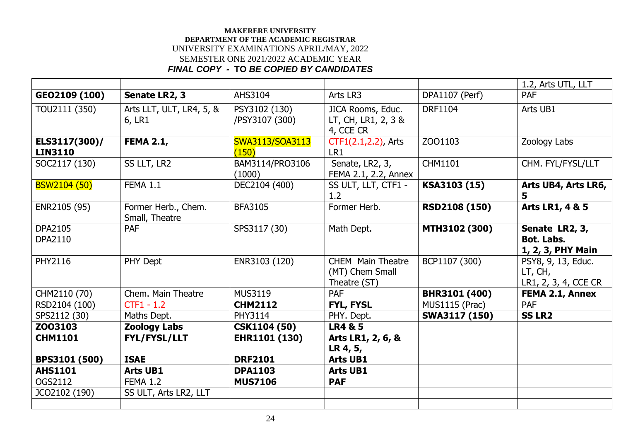|                     |                                       |                     |                          |                       | 1.2, Arts UTL, LLT   |
|---------------------|---------------------------------------|---------------------|--------------------------|-----------------------|----------------------|
| GEO2109 (100)       | Senate LR2, 3                         | AHS3104             | Arts LR3                 | DPA1107 (Perf)        | PAF                  |
| TOU2111 (350)       | Arts LLT, ULT, LR4, 5, &              | PSY3102 (130)       | JICA Rooms, Educ.        | <b>DRF1104</b>        | Arts UB1             |
|                     | 6, LR1                                | /PSY3107 (300)      | LT, CH, LR1, 2, 3 &      |                       |                      |
|                     |                                       |                     | 4, CCE CR                |                       |                      |
| ELS3117(300)/       | <b>FEMA 2.1,</b>                      | SWA3113/SOA3113     | CTF1(2.1,2.2), Arts      | ZOO1103               | Zoology Labs         |
| <b>LIN3110</b>      |                                       | (150)               | LR1                      |                       |                      |
| SOC2117 (130)       | SS LLT, LR2                           | BAM3114/PRO3106     | Senate, LR2, 3,          | CHM1101               | CHM. FYL/FYSL/LLT    |
|                     |                                       | (1000)              | FEMA 2.1, 2.2, Annex     |                       |                      |
| <b>BSW2104 (50)</b> | <b>FEMA 1.1</b>                       | DEC2104 (400)       | SS ULT, LLT, CTF1 -      | KSA3103 (15)          | Arts UB4, Arts LR6,  |
|                     |                                       |                     | 1.2                      |                       | 5                    |
| ENR2105 (95)        | Former Herb., Chem.<br>Small, Theatre | <b>BFA3105</b>      | Former Herb.             | <b>RSD2108 (150)</b>  | Arts LR1, 4 & 5      |
| <b>DPA2105</b>      | <b>PAF</b>                            | SPS3117 (30)        | Math Dept.               | MTH3102 (300)         | Senate LR2, 3,       |
| DPA2110             |                                       |                     |                          |                       | <b>Bot. Labs.</b>    |
|                     |                                       |                     |                          |                       | 1, 2, 3, PHY Main    |
| PHY2116             | PHY Dept                              | ENR3103 (120)       | <b>CHEM</b> Main Theatre | BCP1107 (300)         | PSY8, 9, 13, Educ.   |
|                     |                                       |                     | (MT) Chem Small          |                       | LT, CH,              |
|                     |                                       |                     | Theatre (ST)             |                       | LR1, 2, 3, 4, CCE CR |
| CHM2110 (70)        | Chem. Main Theatre                    | <b>MUS3119</b>      | <b>PAF</b>               | BHR3101 (400)         | FEMA 2.1, Annex      |
| RSD2104 (100)       | $CTF1 - 1.2$                          | <b>CHM2112</b>      | <b>FYL, FYSL</b>         | <b>MUS1115 (Prac)</b> | PAF                  |
| SPS2112 (30)        | Maths Dept.                           | PHY3114             | PHY. Dept.               | SWA3117 (150)         | <b>SS LR2</b>        |
| Z003103             | <b>Zoology Labs</b>                   | <b>CSK1104 (50)</b> | <b>LR4 &amp; 5</b>       |                       |                      |
| <b>CHM1101</b>      | <b>FYL/FYSL/LLT</b>                   | EHR1101 (130)       | Arts LR1, 2, 6, &        |                       |                      |
|                     |                                       |                     | LR 4, 5,                 |                       |                      |
| BPS3101 (500)       | <b>ISAE</b>                           | <b>DRF2101</b>      | <b>Arts UB1</b>          |                       |                      |
| <b>AHS1101</b>      | <b>Arts UB1</b>                       | <b>DPA1103</b>      | <b>Arts UB1</b>          |                       |                      |
| OGS2112             | <b>FEMA 1.2</b>                       | <b>MUS7106</b>      | <b>PAF</b>               |                       |                      |
| JCO2102 (190)       | SS ULT, Arts LR2, LLT                 |                     |                          |                       |                      |
|                     |                                       |                     |                          |                       |                      |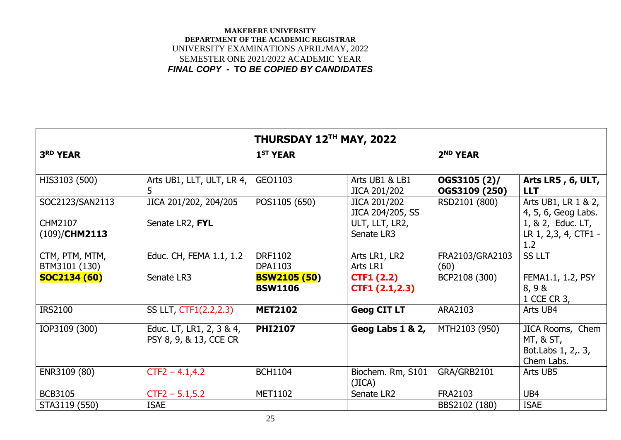| THURSDAY 12TH MAY, 2022                        |                                                    |                                       |                                                                  |                               |                                                                                                |  |  |
|------------------------------------------------|----------------------------------------------------|---------------------------------------|------------------------------------------------------------------|-------------------------------|------------------------------------------------------------------------------------------------|--|--|
| 3RD YEAR                                       |                                                    | 1 <sup>ST</sup> YEAR                  |                                                                  | 2 <sup>ND</sup> YEAR          |                                                                                                |  |  |
| HIS3103 (500)                                  | Arts UB1, LLT, ULT, LR 4,<br>5                     | GEO1103                               | Arts UB1 & LB1<br>JICA 201/202                                   | OGS3105 (2)/<br>OGS3109 (250) | Arts LR5, 6, ULT,<br><b>LLT</b>                                                                |  |  |
| SOC2123/SAN2113<br>CHM2107<br>$(109)/$ CHM2113 | JICA 201/202, 204/205<br>Senate LR2, FYL           | POS1105 (650)                         | JICA 201/202<br>JICA 204/205, SS<br>ULT, LLT, LR2,<br>Senate LR3 | RSD2101 (800)                 | Arts UB1, LR 1 & 2,<br>4, 5, 6, Geog Labs.<br>1, & 2, Educ. LT,<br>LR 1, 2,3, 4, CTF1 -<br>1.2 |  |  |
| CTM, PTM, MTM,<br>BTM3101 (130)                | Educ. CH, FEMA 1.1, 1.2                            | <b>DRF1102</b><br><b>DPA1103</b>      | Arts LR1, LR2<br>Arts LR1                                        | FRA2103/GRA2103<br>(60)       | <b>SS LLT</b>                                                                                  |  |  |
| <b>SOC2134 (60)</b>                            | Senate LR3                                         | <b>BSW2105 (50)</b><br><b>BSW1106</b> | CTF1(2.2)<br>CTF1(2.1,2.3)                                       | BCP2108 (300)                 | FEMA1.1, 1.2, PSY<br>8,98<br>1 CCE CR 3,                                                       |  |  |
| <b>IRS2100</b>                                 | SS LLT, CTF1(2.2,2.3)                              | <b>MET2102</b>                        | <b>Geog CIT LT</b>                                               | ARA2103                       | Arts UB4                                                                                       |  |  |
| IOP3109 (300)                                  | Educ. LT, LR1, 2, 3 & 4,<br>PSY 8, 9, & 13, CCE CR | <b>PHI2107</b>                        | Geog Labs 1 & 2,                                                 | MTH2103 (950)                 | JICA Rooms, Chem<br>MT, 8, ST,<br>Bot.Labs 1, 2, 3,<br>Chem Labs.                              |  |  |
| ENR3109 (80)                                   | $CTF2 - 4.1, 4.2$                                  | <b>BCH1104</b>                        | Biochem. Rm, S101<br>(JICA)                                      | GRA/GRB2101                   | Arts UB5                                                                                       |  |  |
| <b>BCB3105</b>                                 | $CTF2 - 5.1, 5.2$                                  | MET1102                               | Senate LR2                                                       | <b>FRA2103</b>                | UB4                                                                                            |  |  |
| STA3119 (550)                                  | <b>ISAE</b>                                        |                                       |                                                                  | BBS2102 (180)                 | <b>ISAE</b>                                                                                    |  |  |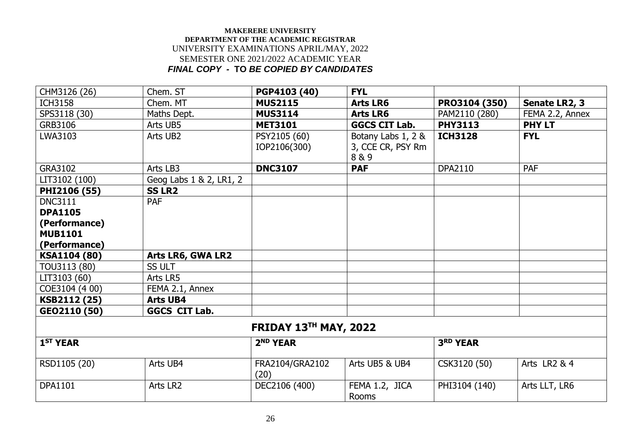| CHM3126 (26)                 | Chem. ST                | PGP4103 (40)            | <b>FYL</b>              |                 |                 |  |  |
|------------------------------|-------------------------|-------------------------|-------------------------|-----------------|-----------------|--|--|
| <b>ICH3158</b>               | Chem. MT                | <b>MUS2115</b>          | <b>Arts LR6</b>         | PR03104 (350)   | Senate LR2, 3   |  |  |
| SPS3118 (30)                 | Maths Dept.             | <b>MUS3114</b>          | <b>Arts LR6</b>         | PAM2110 (280)   | FEMA 2.2, Annex |  |  |
| GRB3106                      | Arts UB5                | <b>MET3101</b>          | <b>GGCS CIT Lab.</b>    | <b>PHY3113</b>  | <b>PHY LT</b>   |  |  |
| LWA3103                      | Arts UB2                | PSY2105 (60)            | Botany Labs 1, 2 &      | <b>ICH3128</b>  | <b>FYL</b>      |  |  |
|                              |                         | IOP2106(300)            | 3, CCE CR, PSY Rm       |                 |                 |  |  |
|                              |                         |                         | 8 & 9                   |                 |                 |  |  |
| GRA3102                      | Arts LB3                | <b>DNC3107</b>          | <b>PAF</b>              | <b>DPA2110</b>  | <b>PAF</b>      |  |  |
| LIT3102 (100)                | Geog Labs 1 & 2, LR1, 2 |                         |                         |                 |                 |  |  |
| PHI2106 (55)                 | <b>SS LR2</b>           |                         |                         |                 |                 |  |  |
| <b>DNC3111</b>               | <b>PAF</b>              |                         |                         |                 |                 |  |  |
| <b>DPA1105</b>               |                         |                         |                         |                 |                 |  |  |
| (Performance)                |                         |                         |                         |                 |                 |  |  |
| <b>MUB1101</b>               |                         |                         |                         |                 |                 |  |  |
| (Performance)                |                         |                         |                         |                 |                 |  |  |
| KSA1104 (80)                 | Arts LR6, GWA LR2       |                         |                         |                 |                 |  |  |
| TOU3113 (80)                 | <b>SS ULT</b>           |                         |                         |                 |                 |  |  |
| LIT3103 (60)                 | Arts LR5                |                         |                         |                 |                 |  |  |
| COE3104 (4 00)               | FEMA 2.1, Annex         |                         |                         |                 |                 |  |  |
| KSB2112 (25)                 | <b>Arts UB4</b>         |                         |                         |                 |                 |  |  |
| GEO2110 (50)                 | <b>GGCS CIT Lab.</b>    |                         |                         |                 |                 |  |  |
| <b>FRIDAY 13TH MAY, 2022</b> |                         |                         |                         |                 |                 |  |  |
| 1 <sup>ST</sup> YEAR         |                         | 2 <sup>ND</sup> YEAR    |                         | <b>3RD YEAR</b> |                 |  |  |
| RSD1105 (20)                 | Arts UB4                | FRA2104/GRA2102<br>(20) | Arts UB5 & UB4          | CSK3120 (50)    | Arts LR2 & 4    |  |  |
| <b>DPA1101</b>               | Arts LR2                | DEC2106 (400)           | FEMA 1.2, JICA<br>Rooms | PHI3104 (140)   | Arts LLT, LR6   |  |  |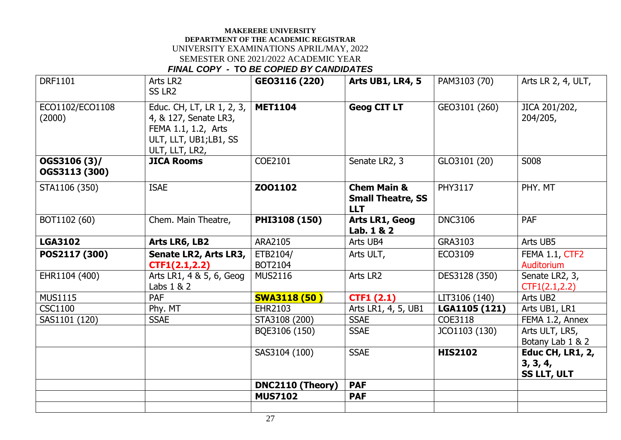| <b>DRF1101</b>                | Arts LR2<br>SS LR <sub>2</sub>                                                                                       | GEO3116 (220)       | <b>Arts UB1, LR4, 5</b>                                          | PAM3103 (70)   | Arts LR 2, 4, ULT,                                 |
|-------------------------------|----------------------------------------------------------------------------------------------------------------------|---------------------|------------------------------------------------------------------|----------------|----------------------------------------------------|
| ECO1102/ECO1108<br>(2000)     | Educ. CH, LT, LR 1, 2, 3,<br>4, & 127, Senate LR3,<br>FEMA 1.1, 1.2, Arts<br>ULT, LLT, UB1;LB1, SS<br>ULT, LLT, LR2, | <b>MET1104</b>      | <b>Geog CIT LT</b>                                               | GEO3101 (260)  | JICA 201/202,<br>204/205,                          |
| OGS3106 (3)/<br>OGS3113 (300) | <b>JICA Rooms</b>                                                                                                    | COE2101             | Senate LR2, 3                                                    | GLO3101 (20)   | S008                                               |
| STA1106 (350)                 | <b>ISAE</b>                                                                                                          | Z001102             | <b>Chem Main &amp;</b><br><b>Small Theatre, SS</b><br><b>LLT</b> | <b>PHY3117</b> | PHY. MT                                            |
| BOT1102 (60)                  | Chem. Main Theatre,                                                                                                  | PHI3108 (150)       | Arts LR1, Geog<br>Lab. 1 & 2                                     | <b>DNC3106</b> | <b>PAF</b>                                         |
| <b>LGA3102</b>                | Arts LR6, LB2                                                                                                        | ARA2105             | Arts UB4                                                         | GRA3103        | Arts UB5                                           |
| POS2117 (300)                 | Senate LR2, Arts LR3,<br>CTF1(2.1, 2.2)                                                                              | ETB2104/<br>BOT2104 | Arts ULT,                                                        | ECO3109        | FEMA 1.1, CTF2<br>Auditorium                       |
| EHR1104 (400)                 | Arts LR1, 4 & 5, 6, Geog<br>Labs $1 & 2$                                                                             | <b>MUS2116</b>      | Arts LR2                                                         | DES3128 (350)  | Senate LR2, 3,<br>CTF1(2.1, 2.2)                   |
| <b>MUS1115</b>                | <b>PAF</b>                                                                                                           | <b>SWA3118 (50)</b> | CTF1(2.1)                                                        | LIT3106 (140)  | Arts UB2                                           |
| <b>CSC1100</b>                | Phy. MT                                                                                                              | EHR2103             | Arts LR1, 4, 5, UB1                                              | LGA1105 (121)  | Arts UB1, LR1                                      |
| SAS1101 (120)                 | <b>SSAE</b>                                                                                                          | STA3108 (200)       | <b>SSAE</b>                                                      | COE3118        | FEMA 1.2, Annex                                    |
|                               |                                                                                                                      | BQE3106 (150)       | <b>SSAE</b>                                                      | JCO1103 (130)  | Arts ULT, LR5,<br>Botany Lab 1 & 2                 |
|                               |                                                                                                                      | SAS3104 (100)       | <b>SSAE</b>                                                      | <b>HIS2102</b> | <b>Educ CH, LR1, 2,</b><br>3, 3, 4,<br>SS LLT, ULT |
|                               |                                                                                                                      | DNC2110 (Theory)    | <b>PAF</b>                                                       |                |                                                    |
|                               |                                                                                                                      | <b>MUS7102</b>      | <b>PAF</b>                                                       |                |                                                    |
|                               |                                                                                                                      |                     |                                                                  |                |                                                    |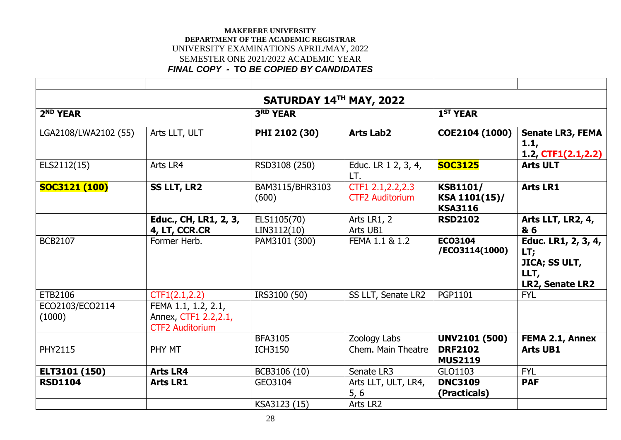| SATURDAY 14TH MAY, 2022   |                                                                       |                            |                                              |                                                    |                                                                               |  |  |
|---------------------------|-----------------------------------------------------------------------|----------------------------|----------------------------------------------|----------------------------------------------------|-------------------------------------------------------------------------------|--|--|
| 2 <sup>ND</sup> YEAR      |                                                                       | 3RD YEAR                   |                                              | 1 <sup>ST</sup> YEAR                               |                                                                               |  |  |
| LGA2108/LWA2102 (55)      | Arts LLT, ULT                                                         | PHI 2102 (30)              | <b>Arts Lab2</b>                             | COE2104 (1000)                                     | <b>Senate LR3, FEMA</b><br>1.1,<br>1.2, $CTF1(2.1,2.2)$                       |  |  |
| ELS2112(15)               | Arts LR4                                                              | RSD3108 (250)              | Educ. LR 1 2, 3, 4,<br>LT.                   | <b>SOC3125</b>                                     | <b>Arts ULT</b>                                                               |  |  |
| <b>SOC3121 (100)</b>      | <b>SS LLT, LR2</b>                                                    | BAM3115/BHR3103<br>(600)   | CTF1 2.1, 2.2, 2.3<br><b>CTF2 Auditorium</b> | <b>KSB1101/</b><br>KSA 1101(15)/<br><b>KSA3116</b> | <b>Arts LR1</b>                                                               |  |  |
|                           | Educ., CH, LR1, 2, 3,<br>4, LT, CCR.CR                                | ELS1105(70)<br>LIN3112(10) | Arts LR1, 2<br>Arts UB1                      | <b>RSD2102</b>                                     | Arts LLT, LR2, 4,<br>& 6                                                      |  |  |
| <b>BCB2107</b>            | Former Herb.                                                          | PAM3101 (300)              | FEMA 1.1 & 1.2                               | <b>ECO3104</b><br>/EC03114(1000)                   | Educ. LR1, 2, 3, 4,<br>LT;<br><b>JICA; SS ULT,</b><br>LLT,<br>LR2, Senate LR2 |  |  |
| ETB2106                   | CTF1(2.1, 2.2)                                                        | IRS3100 (50)               | SS LLT, Senate LR2                           | <b>PGP1101</b>                                     | <b>FYL</b>                                                                    |  |  |
| ECO2103/ECO2114<br>(1000) | FEMA 1.1, 1.2, 2.1,<br>Annex, CTF1 2.2,2.1,<br><b>CTF2 Auditorium</b> |                            |                                              |                                                    |                                                                               |  |  |
|                           |                                                                       | <b>BFA3105</b>             | Zoology Labs                                 | <b>UNV2101 (500)</b>                               | <b>FEMA 2.1, Annex</b>                                                        |  |  |
| <b>PHY2115</b>            | PHY MT                                                                | <b>ICH3150</b>             | Chem. Main Theatre                           | <b>DRF2102</b><br><b>MUS2119</b>                   | <b>Arts UB1</b>                                                               |  |  |
| ELT3101 (150)             | <b>Arts LR4</b>                                                       | BCB3106 (10)               | Senate LR3                                   | GLO1103                                            | <b>FYL</b>                                                                    |  |  |
| <b>RSD1104</b>            | <b>Arts LR1</b>                                                       | GEO3104                    | Arts LLT, ULT, LR4,<br>5, 6                  | <b>DNC3109</b><br>(Practicals)                     | <b>PAF</b>                                                                    |  |  |
|                           |                                                                       | KSA3123 (15)               | Arts LR2                                     |                                                    |                                                                               |  |  |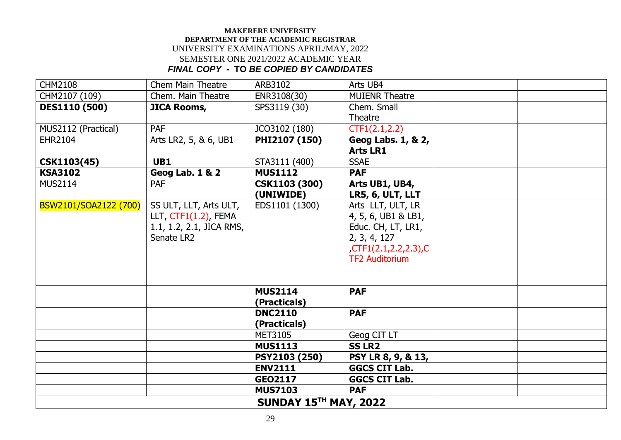| <b>CHM2108</b>               | <b>Chem Main Theatre</b> | ARB3102              | Arts UB4                  |  |  |  |
|------------------------------|--------------------------|----------------------|---------------------------|--|--|--|
| CHM2107 (109)                | Chem. Main Theatre       | ENR3108(30)          | <b>MUIENR Theatre</b>     |  |  |  |
| <b>DES1110 (500)</b>         | <b>JICA Rooms,</b>       | SPS3119 (30)         | Chem. Small               |  |  |  |
|                              |                          |                      | Theatre                   |  |  |  |
| MUS2112 (Practical)          | <b>PAF</b>               | JCO3102 (180)        | CTF1(2.1, 2.2)            |  |  |  |
| EHR2104                      | Arts LR2, 5, & 6, UB1    | PHI2107 (150)        | Geog Labs. 1, & 2,        |  |  |  |
|                              |                          |                      | <b>Arts LR1</b>           |  |  |  |
| CSK1103(45)                  | UB1                      | STA3111 (400)        | <b>SSAE</b>               |  |  |  |
| <b>KSA3102</b>               | Geog Lab. 1 & 2          | <b>MUS1112</b>       | <b>PAF</b>                |  |  |  |
| <b>MUS2114</b>               | PAF                      | <b>CSK1103 (300)</b> | Arts UB1, UB4,            |  |  |  |
|                              |                          | (UNIWIDE)            | LR5, 6, ULT, LLT          |  |  |  |
| BSW2101/SOA2122 (700)        | SS ULT, LLT, Arts ULT,   | EDS1101 (1300)       | Arts LLT, ULT, LR         |  |  |  |
|                              | LLT, CTF1(1.2), FEMA     |                      | 4, 5, 6, UB1 & LB1,       |  |  |  |
|                              | 1.1, 1.2, 2.1, JICA RMS, |                      | Educ. CH, LT, LR1,        |  |  |  |
|                              | Senate LR2               |                      | 2, 3, 4, 127              |  |  |  |
|                              |                          |                      | $CTF1(2.1, 2.2, 2.3)$ , C |  |  |  |
|                              |                          |                      | <b>TF2 Auditorium</b>     |  |  |  |
|                              |                          |                      |                           |  |  |  |
|                              |                          |                      |                           |  |  |  |
|                              |                          | <b>MUS2114</b>       | <b>PAF</b>                |  |  |  |
|                              |                          | (Practicals)         |                           |  |  |  |
|                              |                          | <b>DNC2110</b>       | <b>PAF</b>                |  |  |  |
|                              |                          | (Practicals)         |                           |  |  |  |
|                              |                          | <b>MET3105</b>       | Geog CIT LT               |  |  |  |
|                              |                          | <b>MUS1113</b>       | <b>SS LR2</b>             |  |  |  |
|                              |                          | PSY2103 (250)        | PSY LR 8, 9, & 13,        |  |  |  |
|                              |                          | <b>ENV2111</b>       | <b>GGCS CIT Lab.</b>      |  |  |  |
|                              |                          | GEO2117              | <b>GGCS CIT Lab.</b>      |  |  |  |
|                              |                          | <b>MUS7103</b>       | <b>PAF</b>                |  |  |  |
| <b>SUNDAY 15TH MAY, 2022</b> |                          |                      |                           |  |  |  |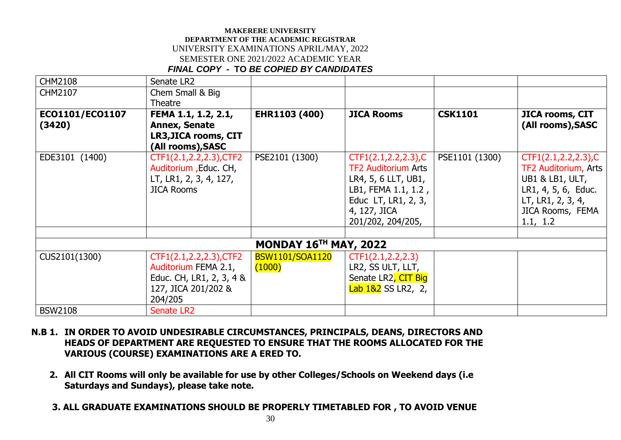| <b>CHM2108</b>  | Senate LR2               |                              |                            |                |                        |
|-----------------|--------------------------|------------------------------|----------------------------|----------------|------------------------|
| CHM2107         | Chem Small & Big         |                              |                            |                |                        |
|                 | Theatre                  |                              |                            |                |                        |
| EC01101/EC01107 | FEMA 1.1, 1.2, 2.1,      | EHR1103 (400)                | <b>JICA Rooms</b>          | <b>CSK1101</b> | <b>JICA rooms, CIT</b> |
| (3420)          | <b>Annex, Senate</b>     |                              |                            |                | (All rooms), SASC      |
|                 | LR3, JICA rooms, CIT     |                              |                            |                |                        |
|                 | (All rooms), SASC        |                              |                            |                |                        |
| EDE3101 (1400)  | CTF1(2.1,2.2,2.3), CTF2  | PSE2101 (1300)               | CTF1(2.1, 2.2, 2.3), C     | PSE1101 (1300) | CTF1(2.1, 2.2, 2.3), C |
|                 | Auditorium , Educ. CH,   |                              | <b>TF2 Auditorium Arts</b> |                | TF2 Auditorium, Arts   |
|                 | LT, LR1, 2, 3, 4, 127,   |                              | LR4, 5, 6 LLT, UB1,        |                | UB1 & LB1, ULT,        |
|                 | <b>JICA Rooms</b>        |                              | LB1, FEMA 1.1, 1.2,        |                | LR1, 4, 5, 6, Educ.    |
|                 |                          |                              | Educ LT, LR1, 2, 3,        |                | LT, LR1, 2, 3, 4,      |
|                 |                          |                              | 4, 127, JICA               |                | JICA Rooms, FEMA       |
|                 |                          |                              | 201/202, 204/205,          |                | 1.1, 1.2               |
|                 |                          |                              |                            |                |                        |
|                 |                          | <b>MONDAY 16TH MAY, 2022</b> |                            |                |                        |
| CUS2101(1300)   | CTF1(2.1,2.2,2.3), CTF2  | BSW1101/SOA1120              | CTF1(2.1, 2.2, 2.3)        |                |                        |
|                 | Auditorium FEMA 2.1,     | (1000)                       | LR2, SS ULT, LLT,          |                |                        |
|                 | Educ. CH, LR1, 2, 3, 4 & |                              | Senate LR2, CIT Big        |                |                        |
|                 | 127, JICA 201/202 &      |                              | Lab 1&2 SS LR2, 2,         |                |                        |
|                 | 204/205                  |                              |                            |                |                        |
| <b>BSW2108</b>  | Senate LR2               |                              |                            |                |                        |

- **N.B 1. IN ORDER TO AVOID UNDESIRABLE CIRCUMSTANCES, PRINCIPALS, DEANS, DIRECTORS AND HEADS OF DEPARTMENT ARE REQUESTED TO ENSURE THAT THE ROOMS ALLOCATED FOR THE VARIOUS (COURSE) EXAMINATIONS ARE A ERED TO.**
	- **2. All CIT Rooms will only be available for use by other Colleges/Schools on Weekend days (i.e Saturdays and Sundays), please take note.**
	- **3. ALL GRADUATE EXAMINATIONS SHOULD BE PROPERLY TIMETABLED FOR , TO AVOID VENUE**